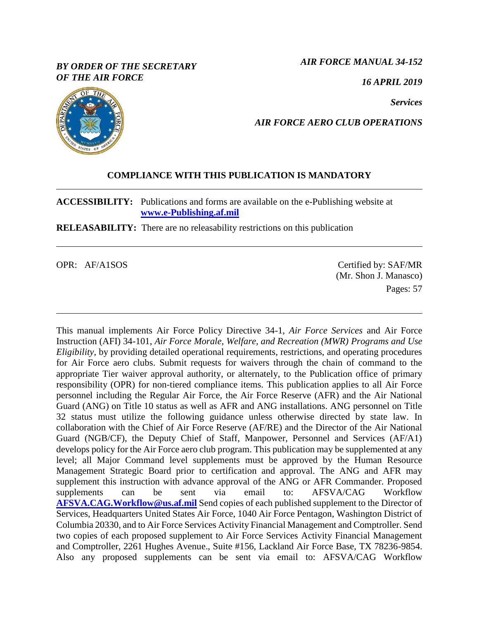## *BY ORDER OF THE SECRETARY OF THE AIR FORCE*

*AIR FORCE MANUAL 34-152*

*16 APRIL 2019*

*Services*



## *AIR FORCE AERO CLUB OPERATIONS*

## **COMPLIANCE WITH THIS PUBLICATION IS MANDATORY**

**ACCESSIBILITY:** Publications and forms are available on the e-Publishing website at **[www.e-Publishing.af.mil](http://www.e-publishing.af.mil/)**

**RELEASABILITY:** There are no releasability restrictions on this publication

OPR: AF/A1SOS Certified by: SAF/MR (Mr. Shon J. Manasco) Pages: 57

This manual implements Air Force Policy Directive 34-1, *Air Force Services* and Air Force Instruction (AFI) 34-101, *Air Force Morale, Welfare, and Recreation (MWR) Programs and Use Eligibility*, by providing detailed operational requirements, restrictions, and operating procedures for Air Force aero clubs. Submit requests for waivers through the chain of command to the appropriate Tier waiver approval authority, or alternately, to the Publication office of primary responsibility (OPR) for non-tiered compliance items. This publication applies to all Air Force personnel including the Regular Air Force, the Air Force Reserve (AFR) and the Air National Guard (ANG) on Title 10 status as well as AFR and ANG installations. ANG personnel on Title 32 status must utilize the following guidance unless otherwise directed by state law. In collaboration with the Chief of Air Force Reserve (AF/RE) and the Director of the Air National Guard (NGB/CF), the Deputy Chief of Staff, Manpower, Personnel and Services (AF/A1) develops policy for the Air Force aero club program. This publication may be supplemented at any level; all Major Command level supplements must be approved by the Human Resource Management Strategic Board prior to certification and approval. The ANG and AFR may supplement this instruction with advance approval of the ANG or AFR Commander. Proposed supplements can be sent via email to: AFSVA/CAG Workflow **[AFSVA.CAG.Workflow@us.af.mil](mailto:AFSVA.CAG.Workflow@us.af.mil)** Send copies of each published supplement to the Director of Services, Headquarters United States Air Force, 1040 Air Force Pentagon, Washington District of Columbia 20330, and to Air Force Services Activity Financial Management and Comptroller. Send two copies of each proposed supplement to Air Force Services Activity Financial Management and Comptroller, 2261 Hughes Avenue., Suite #156, Lackland Air Force Base, TX 78236-9854. Also any proposed supplements can be sent via email to: AFSVA/CAG Workflow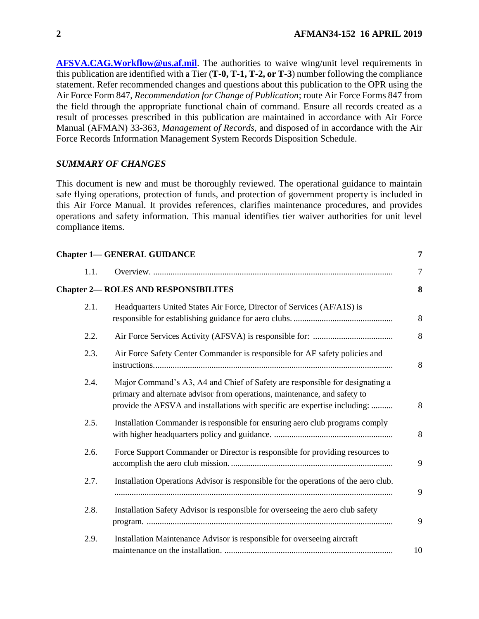**[AFSVA.CAG.Workflow@us.af.mil](mailto:AFSVA.CAG.Workflow@us.af.mil)**. The authorities to waive wing/unit level requirements in this publication are identified with a Tier (**T-0, T-1, T-2, or T-3**) number following the compliance statement. Refer recommended changes and questions about this publication to the OPR using the Air Force Form 847, *Recommendation for Change of Publication*; route Air Force Forms 847 from the field through the appropriate functional chain of command. Ensure all records created as a result of processes prescribed in this publication are maintained in accordance with Air Force Manual (AFMAN) 33-363*, Management of Records,* and disposed of in accordance with the Air Force Records Information Management System Records Disposition Schedule.

## *SUMMARY OF CHANGES*

This document is new and must be thoroughly reviewed. The operational guidance to maintain safe flying operations, protection of funds, and protection of government property is included in this Air Force Manual. It provides references, clarifies maintenance procedures, and provides operations and safety information. This manual identifies tier waiver authorities for unit level compliance items.

|      | <b>Chapter 1-GENERAL GUIDANCE</b>                                                                                                                                                                                                       | 7  |
|------|-----------------------------------------------------------------------------------------------------------------------------------------------------------------------------------------------------------------------------------------|----|
| 1.1. |                                                                                                                                                                                                                                         | 7  |
|      | <b>Chapter 2- ROLES AND RESPONSIBILITES</b>                                                                                                                                                                                             | 8  |
| 2.1. | Headquarters United States Air Force, Director of Services (AF/A1S) is                                                                                                                                                                  | 8  |
| 2.2. |                                                                                                                                                                                                                                         | 8  |
| 2.3. | Air Force Safety Center Commander is responsible for AF safety policies and                                                                                                                                                             | 8  |
| 2.4. | Major Command's A3, A4 and Chief of Safety are responsible for designating a<br>primary and alternate advisor from operations, maintenance, and safety to<br>provide the AFSVA and installations with specific are expertise including: | 8  |
| 2.5. | Installation Commander is responsible for ensuring aero club programs comply                                                                                                                                                            | 8  |
| 2.6. | Force Support Commander or Director is responsible for providing resources to                                                                                                                                                           | 9  |
| 2.7. | Installation Operations Advisor is responsible for the operations of the aero club.                                                                                                                                                     | 9  |
| 2.8. | Installation Safety Advisor is responsible for overseeing the aero club safety                                                                                                                                                          | 9  |
| 2.9. | Installation Maintenance Advisor is responsible for overseeing aircraft                                                                                                                                                                 | 10 |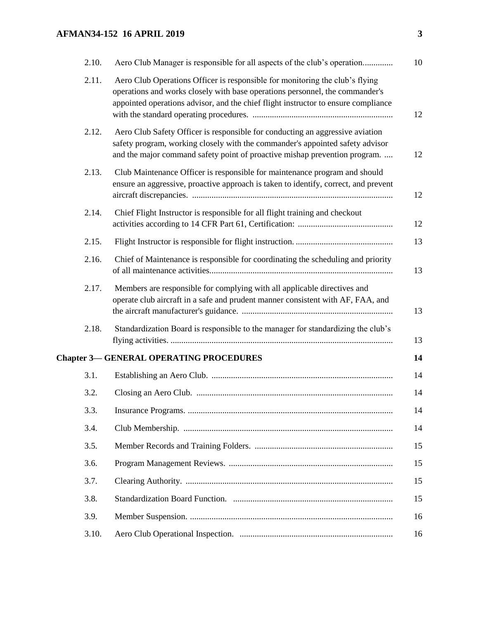# **AFMAN34-152 16 APRIL 2019 3**

| 2.10. | Aero Club Manager is responsible for all aspects of the club's operation                                                                                                                                                                           | 10 |
|-------|----------------------------------------------------------------------------------------------------------------------------------------------------------------------------------------------------------------------------------------------------|----|
| 2.11. | Aero Club Operations Officer is responsible for monitoring the club's flying<br>operations and works closely with base operations personnel, the commander's<br>appointed operations advisor, and the chief flight instructor to ensure compliance | 12 |
| 2.12. | Aero Club Safety Officer is responsible for conducting an aggressive aviation<br>safety program, working closely with the commander's appointed safety advisor<br>and the major command safety point of proactive mishap prevention program.       | 12 |
| 2.13. | Club Maintenance Officer is responsible for maintenance program and should<br>ensure an aggressive, proactive approach is taken to identify, correct, and prevent                                                                                  | 12 |
| 2.14. | Chief Flight Instructor is responsible for all flight training and checkout                                                                                                                                                                        | 12 |
| 2.15. |                                                                                                                                                                                                                                                    | 13 |
| 2.16. | Chief of Maintenance is responsible for coordinating the scheduling and priority                                                                                                                                                                   | 13 |
| 2.17. | Members are responsible for complying with all applicable directives and<br>operate club aircraft in a safe and prudent manner consistent with AF, FAA, and                                                                                        | 13 |
| 2.18. | Standardization Board is responsible to the manager for standardizing the club's                                                                                                                                                                   | 13 |
|       | <b>Chapter 3-GENERAL OPERATING PROCEDURES</b>                                                                                                                                                                                                      | 14 |
| 3.1.  |                                                                                                                                                                                                                                                    | 14 |
| 3.2.  |                                                                                                                                                                                                                                                    | 14 |
| 3.3.  |                                                                                                                                                                                                                                                    | 14 |
| 3.4.  |                                                                                                                                                                                                                                                    | 14 |
| 3.5.  |                                                                                                                                                                                                                                                    | 15 |
| 3.6.  |                                                                                                                                                                                                                                                    | 15 |
| 3.7.  |                                                                                                                                                                                                                                                    | 15 |
| 3.8.  |                                                                                                                                                                                                                                                    | 15 |
| 3.9.  |                                                                                                                                                                                                                                                    | 16 |
| 3.10. |                                                                                                                                                                                                                                                    | 16 |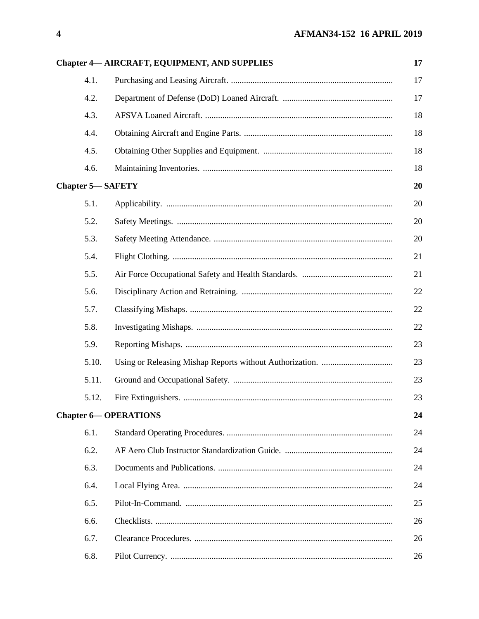|                         | <b>Chapter 4-AIRCRAFT, EQUIPMENT, AND SUPPLIES</b> | 17 |
|-------------------------|----------------------------------------------------|----|
| 4.1.                    |                                                    | 17 |
| 4.2.                    |                                                    | 17 |
| 4.3.                    |                                                    | 18 |
| 4.4.                    |                                                    | 18 |
| 4.5.                    |                                                    | 18 |
| 4.6.                    |                                                    | 18 |
| <b>Chapter 5-SAFETY</b> |                                                    | 20 |
| 5.1.                    |                                                    | 20 |
| 5.2.                    |                                                    | 20 |
| 5.3.                    |                                                    | 20 |
| 5.4.                    |                                                    | 21 |
| 5.5.                    |                                                    | 21 |
| 5.6.                    |                                                    | 22 |
| 5.7.                    |                                                    | 22 |
| 5.8.                    |                                                    | 22 |
| 5.9.                    |                                                    | 23 |
| 5.10.                   |                                                    | 23 |
| 5.11.                   |                                                    | 23 |
| 5.12.                   |                                                    | 23 |
|                         | <b>Chapter 6-OPERATIONS</b>                        | 24 |
| 6.1.                    |                                                    | 24 |
| 6.2.                    |                                                    | 24 |
| 6.3.                    |                                                    | 24 |
| 6.4.                    |                                                    | 24 |
| 6.5.                    |                                                    | 25 |
| 6.6.                    |                                                    | 26 |
| 6.7.                    |                                                    | 26 |
| 6.8.                    |                                                    | 26 |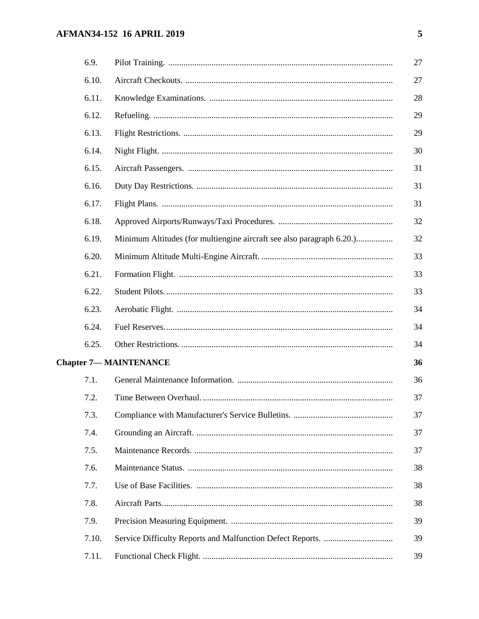# **AFMAN34-152 16 APRIL 2019**

| 6.9.  |                                                                       | 27 |
|-------|-----------------------------------------------------------------------|----|
| 6.10. |                                                                       | 27 |
| 6.11. |                                                                       | 28 |
| 6.12. |                                                                       | 29 |
| 6.13. |                                                                       | 29 |
| 6.14. |                                                                       | 30 |
| 6.15. |                                                                       | 31 |
| 6.16. |                                                                       | 31 |
| 6.17. |                                                                       | 31 |
| 6.18. |                                                                       | 32 |
| 6.19. | Minimum Altitudes (for multiengine aircraft see also paragraph 6.20.) | 32 |
| 6.20. |                                                                       | 33 |
| 6.21. |                                                                       | 33 |
| 6.22. |                                                                       | 33 |
| 6.23. |                                                                       | 34 |
| 6.24. |                                                                       | 34 |
| 6.25. |                                                                       | 34 |
|       | <b>Chapter 7-MAINTENANCE</b>                                          | 36 |
| 7.1.  |                                                                       | 36 |
| 7.2.  |                                                                       | 37 |
| 7.3.  |                                                                       | 37 |
| 7.4.  |                                                                       | 37 |
| 7.5.  |                                                                       | 37 |
| 7.6.  |                                                                       | 38 |
| 7.7.  |                                                                       | 38 |
| 7.8.  |                                                                       | 38 |
| 7.9.  |                                                                       | 39 |
| 7.10. |                                                                       | 39 |
| 7.11. |                                                                       | 39 |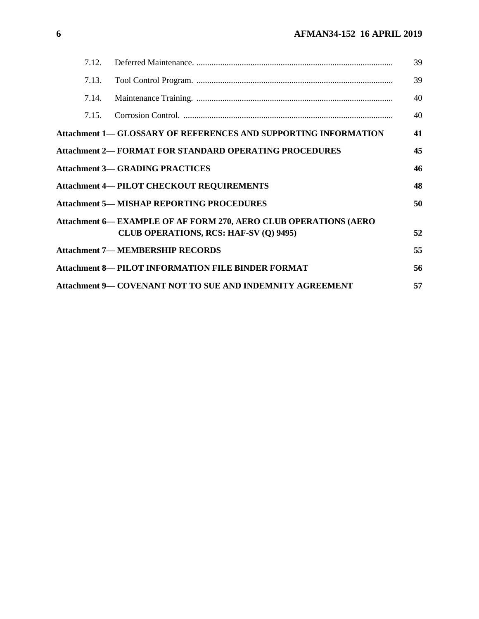| 7.12. |                                                                        | 39 |
|-------|------------------------------------------------------------------------|----|
| 7.13. |                                                                        | 39 |
| 7.14. |                                                                        | 40 |
| 7.15. |                                                                        | 40 |
|       | <b>Attachment 1— GLOSSARY OF REFERENCES AND SUPPORTING INFORMATION</b> | 41 |
|       | <b>Attachment 2— FORMAT FOR STANDARD OPERATING PROCEDURES</b>          | 45 |
|       | <b>Attachment 3-GRADING PRACTICES</b>                                  | 46 |
|       | <b>Attachment 4-PILOT CHECKOUT REQUIREMENTS</b>                        | 48 |
|       | <b>Attachment 5— MISHAP REPORTING PROCEDURES</b>                       | 50 |
|       | Attachment 6— EXAMPLE OF AF FORM 270, AERO CLUB OPERATIONS (AERO       |    |
|       | CLUB OPERATIONS, RCS: HAF-SV (Q) 9495)                                 | 52 |
|       | <b>Attachment 7-MEMBERSHIP RECORDS</b>                                 | 55 |
|       | <b>Attachment 8-PILOT INFORMATION FILE BINDER FORMAT</b>               | 56 |
|       | <b>Attachment 9— COVENANT NOT TO SUE AND INDEMNITY AGREEMENT</b>       | 57 |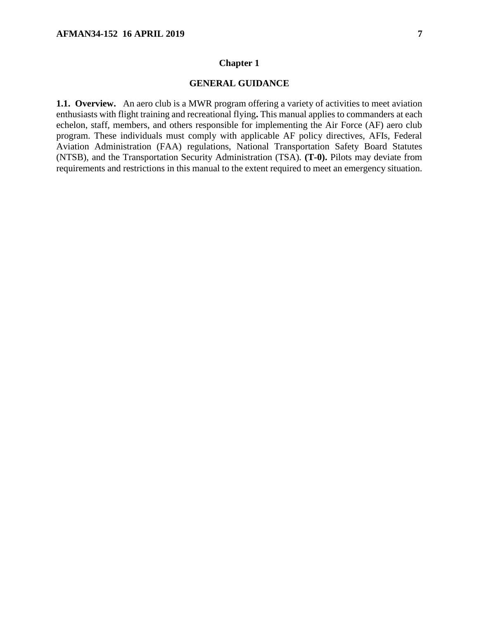#### **Chapter 1**

## **GENERAL GUIDANCE**

<span id="page-6-1"></span><span id="page-6-0"></span>**1.1. Overview.** An aero club is a MWR program offering a variety of activities to meet aviation enthusiasts with flight training and recreational flying**.** This manual applies to commanders at each echelon, staff, members, and others responsible for implementing the Air Force (AF) aero club program. These individuals must comply with applicable AF policy directives, AFIs, Federal Aviation Administration (FAA) regulations, National Transportation Safety Board Statutes (NTSB), and the Transportation Security Administration (TSA). **(T-0).** Pilots may deviate from requirements and restrictions in this manual to the extent required to meet an emergency situation.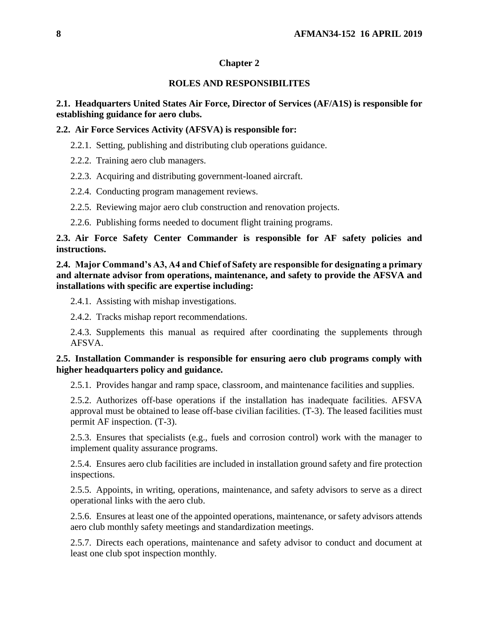## **Chapter 2**

## **ROLES AND RESPONSIBILITES**

## <span id="page-7-1"></span><span id="page-7-0"></span>**2.1. Headquarters United States Air Force, Director of Services (AF/A1S) is responsible for establishing guidance for aero clubs.**

### <span id="page-7-2"></span>**2.2. Air Force Services Activity (AFSVA) is responsible for:**

- 2.2.1. Setting, publishing and distributing club operations guidance.
- 2.2.2. Training aero club managers.
- 2.2.3. Acquiring and distributing government-loaned aircraft.
- 2.2.4. Conducting program management reviews.
- 2.2.5. Reviewing major aero club construction and renovation projects.
- 2.2.6. Publishing forms needed to document flight training programs.

## <span id="page-7-3"></span>**2.3. Air Force Safety Center Commander is responsible for AF safety policies and instructions.**

<span id="page-7-4"></span>**2.4. Major Command's A3, A4 and Chief of Safety are responsible for designating a primary and alternate advisor from operations, maintenance, and safety to provide the AFSVA and installations with specific are expertise including:**

2.4.1. Assisting with mishap investigations.

2.4.2. Tracks mishap report recommendations.

2.4.3. Supplements this manual as required after coordinating the supplements through AFSVA.

## <span id="page-7-5"></span>**2.5. Installation Commander is responsible for ensuring aero club programs comply with higher headquarters policy and guidance.**

2.5.1. Provides hangar and ramp space, classroom, and maintenance facilities and supplies.

2.5.2. Authorizes off-base operations if the installation has inadequate facilities. AFSVA approval must be obtained to lease off-base civilian facilities. (T-3). The leased facilities must permit AF inspection. (T-3).

2.5.3. Ensures that specialists (e.g., fuels and corrosion control) work with the manager to implement quality assurance programs.

2.5.4. Ensures aero club facilities are included in installation ground safety and fire protection inspections.

2.5.5. Appoints, in writing, operations, maintenance, and safety advisors to serve as a direct operational links with the aero club.

2.5.6. Ensures at least one of the appointed operations, maintenance, or safety advisors attends aero club monthly safety meetings and standardization meetings.

2.5.7. Directs each operations, maintenance and safety advisor to conduct and document at least one club spot inspection monthly.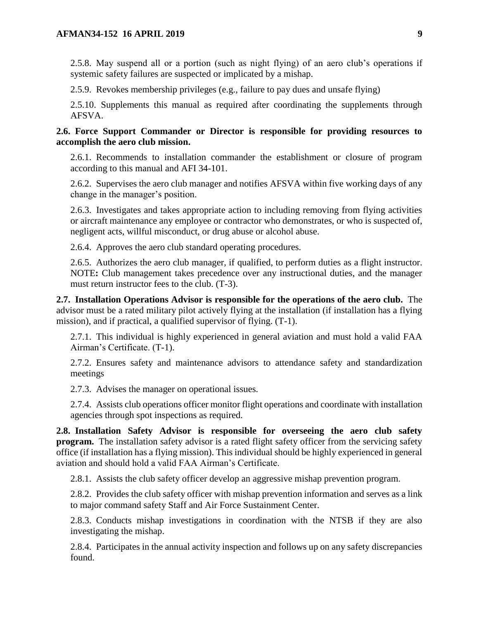2.5.8. May suspend all or a portion (such as night flying) of an aero club's operations if systemic safety failures are suspected or implicated by a mishap.

2.5.9. Revokes membership privileges (e.g., failure to pay dues and unsafe flying)

2.5.10. Supplements this manual as required after coordinating the supplements through AFSVA.

<span id="page-8-0"></span>**2.6. Force Support Commander or Director is responsible for providing resources to accomplish the aero club mission.**

2.6.1. Recommends to installation commander the establishment or closure of program according to this manual and AFI 34-101.

2.6.2. Supervises the aero club manager and notifies AFSVA within five working days of any change in the manager's position.

2.6.3. Investigates and takes appropriate action to including removing from flying activities or aircraft maintenance any employee or contractor who demonstrates, or who is suspected of, negligent acts, willful misconduct, or drug abuse or alcohol abuse.

2.6.4. Approves the aero club standard operating procedures.

2.6.5. Authorizes the aero club manager, if qualified, to perform duties as a flight instructor. NOTE**:** Club management takes precedence over any instructional duties, and the manager must return instructor fees to the club. (T-3).

<span id="page-8-1"></span>**2.7. Installation Operations Advisor is responsible for the operations of the aero club.** The advisor must be a rated military pilot actively flying at the installation (if installation has a flying mission), and if practical, a qualified supervisor of flying. (T-1).

2.7.1. This individual is highly experienced in general aviation and must hold a valid FAA Airman's Certificate. (T-1).

2.7.2. Ensures safety and maintenance advisors to attendance safety and standardization meetings

2.7.3. Advises the manager on operational issues.

2.7.4. Assists club operations officer monitor flight operations and coordinate with installation agencies through spot inspections as required.

<span id="page-8-2"></span>**2.8. Installation Safety Advisor is responsible for overseeing the aero club safety program.** The installation safety advisor is a rated flight safety officer from the servicing safety office (if installation has a flying mission). This individual should be highly experienced in general aviation and should hold a valid FAA Airman's Certificate.

2.8.1. Assists the club safety officer develop an aggressive mishap prevention program.

2.8.2. Provides the club safety officer with mishap prevention information and serves as a link to major command safety Staff and Air Force Sustainment Center.

2.8.3. Conducts mishap investigations in coordination with the NTSB if they are also investigating the mishap.

2.8.4. Participates in the annual activity inspection and follows up on any safety discrepancies found.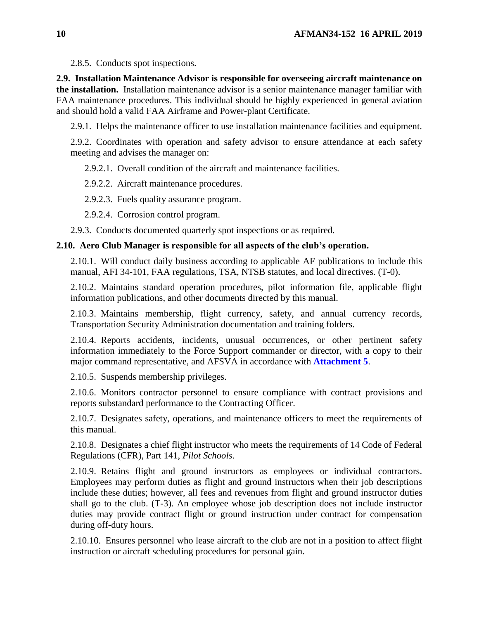2.8.5. Conducts spot inspections.

<span id="page-9-0"></span>**2.9. Installation Maintenance Advisor is responsible for overseeing aircraft maintenance on the installation.** Installation maintenance advisor is a senior maintenance manager familiar with FAA maintenance procedures. This individual should be highly experienced in general aviation and should hold a valid FAA Airframe and Power-plant Certificate.

2.9.1. Helps the maintenance officer to use installation maintenance facilities and equipment.

2.9.2. Coordinates with operation and safety advisor to ensure attendance at each safety meeting and advises the manager on:

2.9.2.1. Overall condition of the aircraft and maintenance facilities.

2.9.2.2. Aircraft maintenance procedures.

2.9.2.3. Fuels quality assurance program.

2.9.2.4. Corrosion control program.

2.9.3. Conducts documented quarterly spot inspections or as required.

## <span id="page-9-1"></span>**2.10. Aero Club Manager is responsible for all aspects of the club's operation.**

2.10.1. Will conduct daily business according to applicable AF publications to include this manual, AFI 34-101, FAA regulations, TSA, NTSB statutes, and local directives. (T-0).

2.10.2. Maintains standard operation procedures, pilot information file, applicable flight information publications, and other documents directed by this manual.

2.10.3. Maintains membership, flight currency, safety, and annual currency records, Transportation Security Administration documentation and training folders.

2.10.4. Reports accidents, incidents, unusual occurrences, or other pertinent safety information immediately to the Force Support commander or director, with a copy to their major command representative, and AFSVA in accordance with **[Attachment 5](#page-49-0)**.

2.10.5. Suspends membership privileges.

2.10.6. Monitors contractor personnel to ensure compliance with contract provisions and reports substandard performance to the Contracting Officer.

2.10.7. Designates safety, operations, and maintenance officers to meet the requirements of this manual.

2.10.8. Designates a chief flight instructor who meets the requirements of 14 Code of Federal Regulations (CFR), Part 141, *Pilot Schools*.

2.10.9. Retains flight and ground instructors as employees or individual contractors. Employees may perform duties as flight and ground instructors when their job descriptions include these duties; however, all fees and revenues from flight and ground instructor duties shall go to the club. (T-3). An employee whose job description does not include instructor duties may provide contract flight or ground instruction under contract for compensation during off-duty hours.

2.10.10. Ensures personnel who lease aircraft to the club are not in a position to affect flight instruction or aircraft scheduling procedures for personal gain.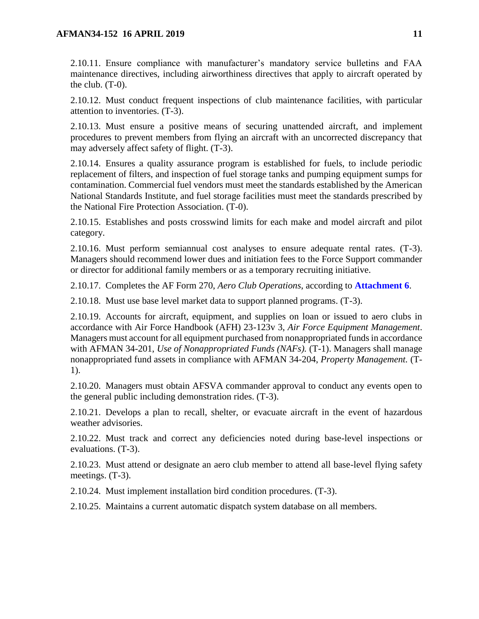### **AFMAN34-152 16 APRIL 2019 11**

2.10.11. Ensure compliance with manufacturer's mandatory service bulletins and FAA maintenance directives, including airworthiness directives that apply to aircraft operated by the club. (T-0).

2.10.12. Must conduct frequent inspections of club maintenance facilities, with particular attention to inventories. (T-3).

2.10.13. Must ensure a positive means of securing unattended aircraft, and implement procedures to prevent members from flying an aircraft with an uncorrected discrepancy that may adversely affect safety of flight. (T-3).

2.10.14. Ensures a quality assurance program is established for fuels, to include periodic replacement of filters, and inspection of fuel storage tanks and pumping equipment sumps for contamination. Commercial fuel vendors must meet the standards established by the American National Standards Institute, and fuel storage facilities must meet the standards prescribed by the National Fire Protection Association. (T-0).

2.10.15. Establishes and posts crosswind limits for each make and model aircraft and pilot category.

2.10.16. Must perform semiannual cost analyses to ensure adequate rental rates. (T-3). Managers should recommend lower dues and initiation fees to the Force Support commander or director for additional family members or as a temporary recruiting initiative.

2.10.17. Completes the AF Form 270, *Aero Club Operations*, according to **[Attachment 6](#page-51-0)**.

2.10.18. Must use base level market data to support planned programs. (T-3).

2.10.19. Accounts for aircraft, equipment, and supplies on loan or issued to aero clubs in accordance with Air Force Handbook (AFH) 23-123v 3, *Air Force Equipment Management*. Managers must account for all equipment purchased from nonappropriated funds in accordance with AFMAN 34-201, *Use of Nonappropriated Funds (NAFs).* (T-1). Managers shall manage nonappropriated fund assets in compliance with AFMAN 34-204, *Property Management.* (T-1).

2.10.20. Managers must obtain AFSVA commander approval to conduct any events open to the general public including demonstration rides. (T-3).

2.10.21. Develops a plan to recall, shelter, or evacuate aircraft in the event of hazardous weather advisories.

2.10.22. Must track and correct any deficiencies noted during base-level inspections or evaluations. (T-3).

2.10.23. Must attend or designate an aero club member to attend all base-level flying safety meetings. (T-3).

2.10.24. Must implement installation bird condition procedures. (T-3).

<span id="page-10-0"></span>2.10.25. Maintains a current automatic dispatch system database on all members.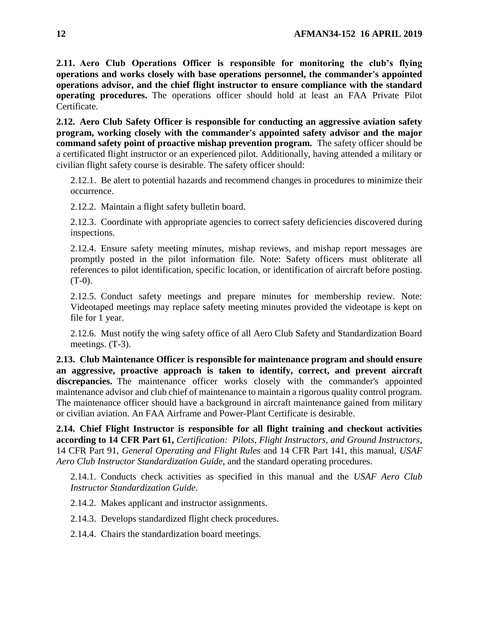**2.11. Aero Club Operations Officer is responsible for monitoring the club's flying operations and works closely with base operations personnel, the commander's appointed operations advisor, and the chief flight instructor to ensure compliance with the standard operating procedures.** The operations officer should hold at least an FAA Private Pilot Certificate.

<span id="page-11-0"></span>**2.12. Aero Club Safety Officer is responsible for conducting an aggressive aviation safety program, working closely with the commander's appointed safety advisor and the major command safety point of proactive mishap prevention program.** The safety officer should be a certificated flight instructor or an experienced pilot. Additionally, having attended a military or civilian flight safety course is desirable. The safety officer should:

2.12.1. Be alert to potential hazards and recommend changes in procedures to minimize their occurrence.

2.12.2. Maintain a flight safety bulletin board.

2.12.3. Coordinate with appropriate agencies to correct safety deficiencies discovered during inspections.

2.12.4. Ensure safety meeting minutes, mishap reviews, and mishap report messages are promptly posted in the pilot information file. Note: Safety officers must obliterate all references to pilot identification, specific location, or identification of aircraft before posting.  $(T-0)$ .

2.12.5. Conduct safety meetings and prepare minutes for membership review. Note: Videotaped meetings may replace safety meeting minutes provided the videotape is kept on file for 1 year.

2.12.6. Must notify the wing safety office of all Aero Club Safety and Standardization Board meetings. (T-3).

<span id="page-11-1"></span>**2.13. Club Maintenance Officer is responsible for maintenance program and should ensure an aggressive, proactive approach is taken to identify, correct, and prevent aircraft**  discrepancies. The maintenance officer works closely with the commander's appointed maintenance advisor and club chief of maintenance to maintain a rigorous quality control program. The maintenance officer should have a background in aircraft maintenance gained from military or civilian aviation. An FAA Airframe and Power-Plant Certificate is desirable.

<span id="page-11-2"></span>**2.14. Chief Flight Instructor is responsible for all flight training and checkout activities according to 14 CFR Part 61,** *Certification: Pilots, Flight Instructors, and Ground Instructors*, 14 CFR Part 91, *General Operating and Flight Rules* and 14 CFR Part 141, this manual, *USAF Aero Club Instructor Standardization Guide*, and the standard operating procedures.

2.14.1. Conducts check activities as specified in this manual and the *USAF Aero Club Instructor Standardization Guide*.

2.14.2. Makes applicant and instructor assignments.

2.14.3. Develops standardized flight check procedures.

2.14.4. Chairs the standardization board meetings.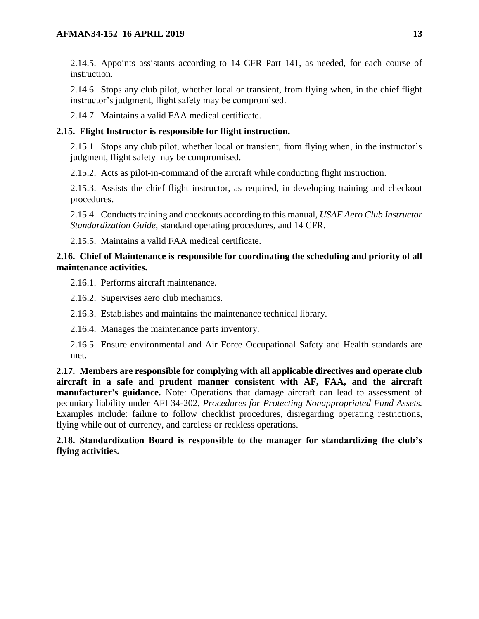2.14.5. Appoints assistants according to 14 CFR Part 141, as needed, for each course of instruction.

2.14.6. Stops any club pilot, whether local or transient, from flying when, in the chief flight instructor's judgment, flight safety may be compromised.

2.14.7. Maintains a valid FAA medical certificate.

## <span id="page-12-0"></span>**2.15. Flight Instructor is responsible for flight instruction.**

2.15.1. Stops any club pilot, whether local or transient, from flying when, in the instructor's judgment, flight safety may be compromised.

2.15.2. Acts as pilot-in-command of the aircraft while conducting flight instruction.

2.15.3. Assists the chief flight instructor, as required, in developing training and checkout procedures.

2.15.4. Conducts training and checkouts according to this manual, *USAF Aero Club Instructor Standardization Guide*, standard operating procedures, and 14 CFR.

2.15.5. Maintains a valid FAA medical certificate.

## <span id="page-12-1"></span>**2.16. Chief of Maintenance is responsible for coordinating the scheduling and priority of all maintenance activities.**

2.16.1. Performs aircraft maintenance.

2.16.2. Supervises aero club mechanics.

2.16.3. Establishes and maintains the maintenance technical library.

2.16.4. Manages the maintenance parts inventory.

2.16.5. Ensure environmental and Air Force Occupational Safety and Health standards are met.

<span id="page-12-2"></span>**2.17. Members are responsible for complying with all applicable directives and operate club aircraft in a safe and prudent manner consistent with AF, FAA, and the aircraft manufacturer's guidance.** Note: Operations that damage aircraft can lead to assessment of pecuniary liability under AFI 34-202, *Procedures for Protecting Nonappropriated Fund Assets.* Examples include: failure to follow checklist procedures, disregarding operating restrictions, flying while out of currency, and careless or reckless operations.

## <span id="page-12-3"></span>**2.18. Standardization Board is responsible to the manager for standardizing the club's flying activities.**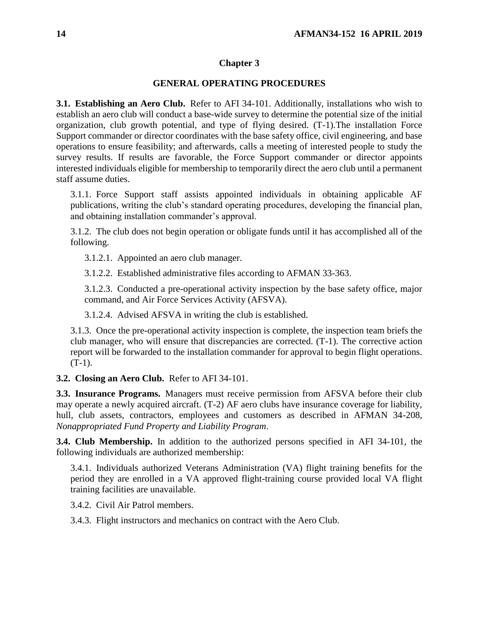### **Chapter 3**

### **GENERAL OPERATING PROCEDURES**

<span id="page-13-1"></span><span id="page-13-0"></span>**3.1. Establishing an Aero Club.** Refer to AFI 34-101. Additionally, installations who wish to establish an aero club will conduct a base-wide survey to determine the potential size of the initial organization, club growth potential, and type of flying desired. (T-1).The installation Force Support commander or director coordinates with the base safety office, civil engineering, and base operations to ensure feasibility; and afterwards, calls a meeting of interested people to study the survey results. If results are favorable, the Force Support commander or director appoints interested individuals eligible for membership to temporarily direct the aero club until a permanent staff assume duties.

3.1.1. Force Support staff assists appointed individuals in obtaining applicable AF publications, writing the club's standard operating procedures, developing the financial plan, and obtaining installation commander's approval.

3.1.2. The club does not begin operation or obligate funds until it has accomplished all of the following.

3.1.2.1. Appointed an aero club manager.

3.1.2.2. Established administrative files according to AFMAN 33-363.

3.1.2.3. Conducted a pre-operational activity inspection by the base safety office, major command, and Air Force Services Activity (AFSVA).

3.1.2.4. Advised AFSVA in writing the club is established.

3.1.3. Once the pre-operational activity inspection is complete, the inspection team briefs the club manager, who will ensure that discrepancies are corrected. (T-1). The corrective action report will be forwarded to the installation commander for approval to begin flight operations.  $(T-1)$ .

<span id="page-13-2"></span>**3.2. Closing an Aero Club.** Refer to AFI 34-101.

<span id="page-13-3"></span>**3.3. Insurance Programs.** Managers must receive permission from AFSVA before their club may operate a newly acquired aircraft. (T-2) AF aero clubs have insurance coverage for liability, hull, club assets, contractors, employees and customers as described in AFMAN 34-208, *Nonappropriated Fund Property and Liability Program*.

<span id="page-13-4"></span>**3.4. Club Membership.** In addition to the authorized persons specified in AFI 34-101, the following individuals are authorized membership:

3.4.1. Individuals authorized Veterans Administration (VA) flight training benefits for the period they are enrolled in a VA approved flight-training course provided local VA flight training facilities are unavailable.

3.4.2. Civil Air Patrol members.

<span id="page-13-5"></span>3.4.3. Flight instructors and mechanics on contract with the Aero Club.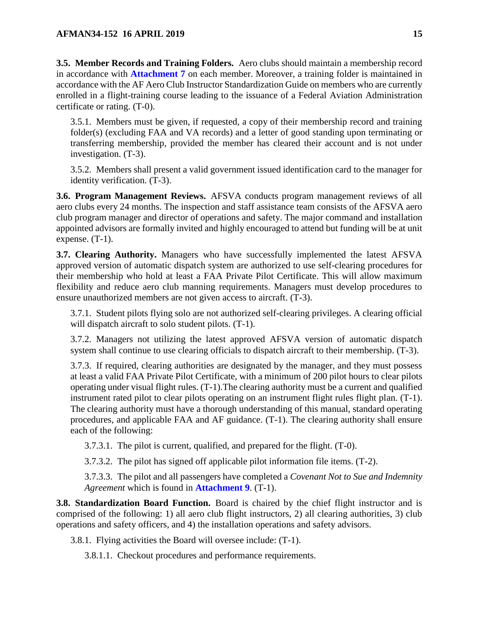**3.5. Member Records and Training Folders.** Aero clubs should maintain a membership record in accordance with **[Attachment 7](#page-54-0)** on each member. Moreover, a training folder is maintained in accordance with the AF Aero Club Instructor Standardization Guide on members who are currently enrolled in a flight-training course leading to the issuance of a Federal Aviation Administration certificate or rating. (T-0).

3.5.1. Members must be given, if requested, a copy of their membership record and training folder(s) (excluding FAA and VA records) and a letter of good standing upon terminating or transferring membership, provided the member has cleared their account and is not under investigation. (T-3).

3.5.2. Members shall present a valid government issued identification card to the manager for identity verification. (T-3).

<span id="page-14-0"></span>**3.6. Program Management Reviews.** AFSVA conducts program management reviews of all aero clubs every 24 months. The inspection and staff assistance team consists of the AFSVA aero club program manager and director of operations and safety. The major command and installation appointed advisors are formally invited and highly encouraged to attend but funding will be at unit expense. (T-1).

<span id="page-14-1"></span>**3.7. Clearing Authority.** Managers who have successfully implemented the latest AFSVA approved version of automatic dispatch system are authorized to use self-clearing procedures for their membership who hold at least a FAA Private Pilot Certificate. This will allow maximum flexibility and reduce aero club manning requirements. Managers must develop procedures to ensure unauthorized members are not given access to aircraft. (T-3).

3.7.1. Student pilots flying solo are not authorized self-clearing privileges. A clearing official will dispatch aircraft to solo student pilots.  $(T-1)$ .

3.7.2. Managers not utilizing the latest approved AFSVA version of automatic dispatch system shall continue to use clearing officials to dispatch aircraft to their membership. (T-3).

3.7.3. If required, clearing authorities are designated by the manager, and they must possess at least a valid FAA Private Pilot Certificate, with a minimum of 200 pilot hours to clear pilots operating under visual flight rules. (T-1).The clearing authority must be a current and qualified instrument rated pilot to clear pilots operating on an instrument flight rules flight plan. (T-1). The clearing authority must have a thorough understanding of this manual, standard operating procedures, and applicable FAA and AF guidance. (T-1). The clearing authority shall ensure each of the following:

3.7.3.1. The pilot is current, qualified, and prepared for the flight. (T-0).

3.7.3.2. The pilot has signed off applicable pilot information file items. (T-2).

3.7.3.3. The pilot and all passengers have completed a *Covenant Not to Sue and Indemnity Agreement* which is found in **[Attachment 9](#page-56-0)**. (T-1).

<span id="page-14-2"></span>**3.8. Standardization Board Function.** Board is chaired by the chief flight instructor and is comprised of the following: 1) all aero club flight instructors, 2) all clearing authorities, 3) club operations and safety officers, and 4) the installation operations and safety advisors.

3.8.1. Flying activities the Board will oversee include: (T-1).

3.8.1.1. Checkout procedures and performance requirements.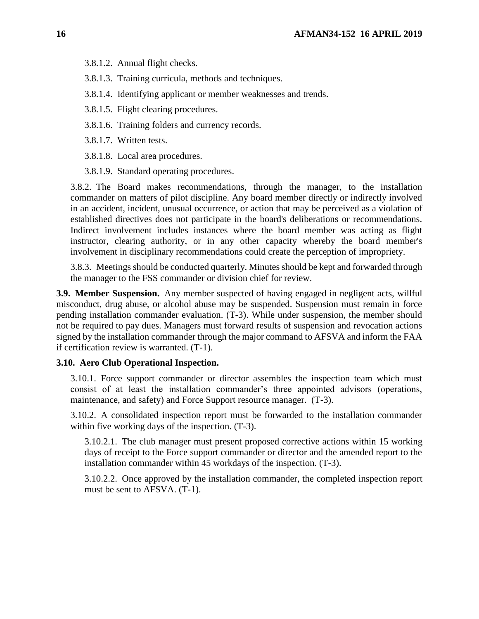- 3.8.1.2. Annual flight checks.
- 3.8.1.3. Training curricula, methods and techniques.
- 3.8.1.4. Identifying applicant or member weaknesses and trends.
- 3.8.1.5. Flight clearing procedures.
- 3.8.1.6. Training folders and currency records.
- 3.8.1.7. Written tests.
- 3.8.1.8. Local area procedures.
- 3.8.1.9. Standard operating procedures.

3.8.2. The Board makes recommendations, through the manager, to the installation commander on matters of pilot discipline. Any board member directly or indirectly involved in an accident, incident, unusual occurrence, or action that may be perceived as a violation of established directives does not participate in the board's deliberations or recommendations. Indirect involvement includes instances where the board member was acting as flight instructor, clearing authority, or in any other capacity whereby the board member's involvement in disciplinary recommendations could create the perception of impropriety.

3.8.3. Meetings should be conducted quarterly. Minutes should be kept and forwarded through the manager to the FSS commander or division chief for review.

<span id="page-15-0"></span>**3.9. Member Suspension.** Any member suspected of having engaged in negligent acts, willful misconduct, drug abuse, or alcohol abuse may be suspended. Suspension must remain in force pending installation commander evaluation. (T-3). While under suspension, the member should not be required to pay dues. Managers must forward results of suspension and revocation actions signed by the installation commander through the major command to AFSVA and inform the FAA if certification review is warranted. (T-1).

### <span id="page-15-1"></span>**3.10. Aero Club Operational Inspection.**

3.10.1. Force support commander or director assembles the inspection team which must consist of at least the installation commander's three appointed advisors (operations, maintenance, and safety) and Force Support resource manager. (T-3).

3.10.2. A consolidated inspection report must be forwarded to the installation commander within five working days of the inspection.  $(T-3)$ .

3.10.2.1. The club manager must present proposed corrective actions within 15 working days of receipt to the Force support commander or director and the amended report to the installation commander within 45 workdays of the inspection. (T-3).

3.10.2.2. Once approved by the installation commander, the completed inspection report must be sent to AFSVA. (T-1).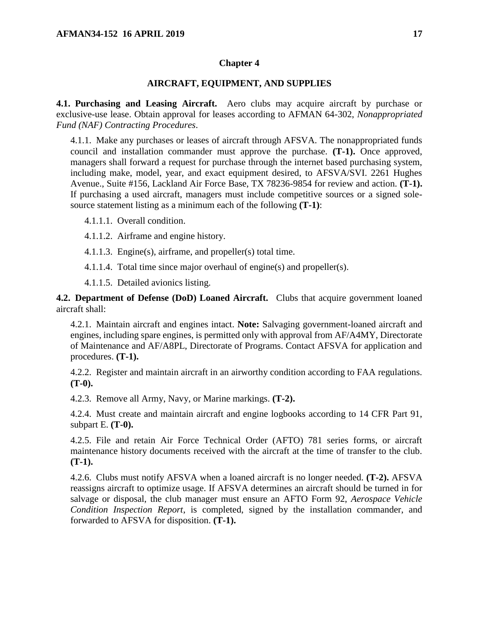## **Chapter 4**

### **AIRCRAFT, EQUIPMENT, AND SUPPLIES**

<span id="page-16-1"></span><span id="page-16-0"></span>**4.1. Purchasing and Leasing Aircraft.** Aero clubs may acquire aircraft by purchase or exclusive-use lease. Obtain approval for leases according to AFMAN 64-302, *Nonappropriated Fund (NAF) Contracting Procedures*.

4.1.1. Make any purchases or leases of aircraft through AFSVA. The nonappropriated funds council and installation commander must approve the purchase. **(T-1).** Once approved, managers shall forward a request for purchase through the internet based purchasing system, including make, model, year, and exact equipment desired, to AFSVA/SVI. 2261 Hughes Avenue., Suite #156, Lackland Air Force Base, TX 78236-9854 for review and action. **(T-1).** If purchasing a used aircraft, managers must include competitive sources or a signed solesource statement listing as a minimum each of the following **(T-1)**:

4.1.1.1. Overall condition.

4.1.1.2. Airframe and engine history.

4.1.1.3. Engine(s), airframe, and propeller(s) total time.

4.1.1.4. Total time since major overhaul of engine(s) and propeller(s).

4.1.1.5. Detailed avionics listing.

<span id="page-16-2"></span>**4.2. Department of Defense (DoD) Loaned Aircraft.** Clubs that acquire government loaned aircraft shall:

4.2.1. Maintain aircraft and engines intact. **Note:** Salvaging government-loaned aircraft and engines, including spare engines, is permitted only with approval from AF/A4MY, Directorate of Maintenance and AF/A8PL, Directorate of Programs. Contact AFSVA for application and procedures. **(T-1).**

4.2.2. Register and maintain aircraft in an airworthy condition according to FAA regulations. **(T-0).**

4.2.3. Remove all Army, Navy, or Marine markings. **(T-2).**

4.2.4. Must create and maintain aircraft and engine logbooks according to 14 CFR Part 91, subpart E. **(T-0).**

4.2.5. File and retain Air Force Technical Order (AFTO) 781 series forms, or aircraft maintenance history documents received with the aircraft at the time of transfer to the club. **(T-1).**

4.2.6. Clubs must notify AFSVA when a loaned aircraft is no longer needed. **(T-2).** AFSVA reassigns aircraft to optimize usage. If AFSVA determines an aircraft should be turned in for salvage or disposal, the club manager must ensure an AFTO Form 92, *Aerospace Vehicle Condition Inspection Report*, is completed, signed by the installation commander, and forwarded to AFSVA for disposition. **(T-1).**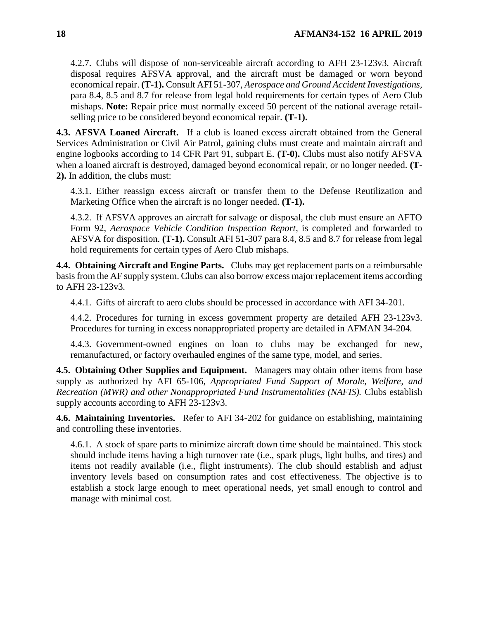4.2.7. Clubs will dispose of non-serviceable aircraft according to AFH 23-123v3*.* Aircraft disposal requires AFSVA approval, and the aircraft must be damaged or worn beyond economical repair. **(T-1).** Consult AFI 51-307, *Aerospace and Ground Accident Investigations,* para 8.4, 8.5 and 8.7 for release from legal hold requirements for certain types of Aero Club mishaps. **Note:** Repair price must normally exceed 50 percent of the national average retailselling price to be considered beyond economical repair. **(T-1).**

<span id="page-17-0"></span>**4.3. AFSVA Loaned Aircraft.** If a club is loaned excess aircraft obtained from the General Services Administration or Civil Air Patrol, gaining clubs must create and maintain aircraft and engine logbooks according to 14 CFR Part 91, subpart E. **(T-0).** Clubs must also notify AFSVA when a loaned aircraft is destroyed, damaged beyond economical repair, or no longer needed. **(T-2).** In addition, the clubs must:

4.3.1. Either reassign excess aircraft or transfer them to the Defense Reutilization and Marketing Office when the aircraft is no longer needed. **(T-1).**

4.3.2. If AFSVA approves an aircraft for salvage or disposal, the club must ensure an AFTO Form 92, *Aerospace Vehicle Condition Inspection Report*, is completed and forwarded to AFSVA for disposition. **(T-1).** Consult AFI 51-307 para 8.4, 8.5 and 8.7 for release from legal hold requirements for certain types of Aero Club mishaps.

<span id="page-17-1"></span>**4.4. Obtaining Aircraft and Engine Parts.** Clubs may get replacement parts on a reimbursable basis from the AF supply system. Clubs can also borrow excess major replacement items according to AFH 23-123v3*.*

4.4.1. Gifts of aircraft to aero clubs should be processed in accordance with AFI 34-201.

4.4.2. Procedures for turning in excess government property are detailed AFH 23-123v3. Procedures for turning in excess nonappropriated property are detailed in AFMAN 34-204*.*

4.4.3. Government-owned engines on loan to clubs may be exchanged for new, remanufactured, or factory overhauled engines of the same type, model, and series.

<span id="page-17-2"></span>**4.5. Obtaining Other Supplies and Equipment.** Managers may obtain other items from base supply as authorized by AFI 65-106, *Appropriated Fund Support of Morale, Welfare, and Recreation (MWR) and other Nonappropriated Fund Instrumentalities (NAFIS).* Clubs establish supply accounts according to AFH 23-123v3.

<span id="page-17-3"></span>**4.6. Maintaining Inventories.** Refer to AFI 34-202 for guidance on establishing, maintaining and controlling these inventories.

4.6.1. A stock of spare parts to minimize aircraft down time should be maintained. This stock should include items having a high turnover rate (i.e., spark plugs, light bulbs, and tires) and items not readily available (i.e., flight instruments). The club should establish and adjust inventory levels based on consumption rates and cost effectiveness. The objective is to establish a stock large enough to meet operational needs, yet small enough to control and manage with minimal cost.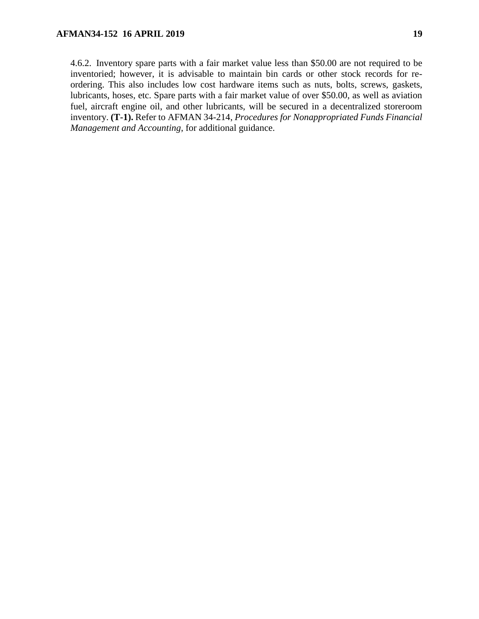4.6.2. Inventory spare parts with a fair market value less than \$50.00 are not required to be inventoried; however, it is advisable to maintain bin cards or other stock records for reordering. This also includes low cost hardware items such as nuts, bolts, screws, gaskets, lubricants, hoses, etc. Spare parts with a fair market value of over \$50.00, as well as aviation fuel, aircraft engine oil, and other lubricants, will be secured in a decentralized storeroom inventory. **(T-1).** Refer to AFMAN 34-214, *Procedures for Nonappropriated Funds Financial Management and Accounting*, for additional guidance.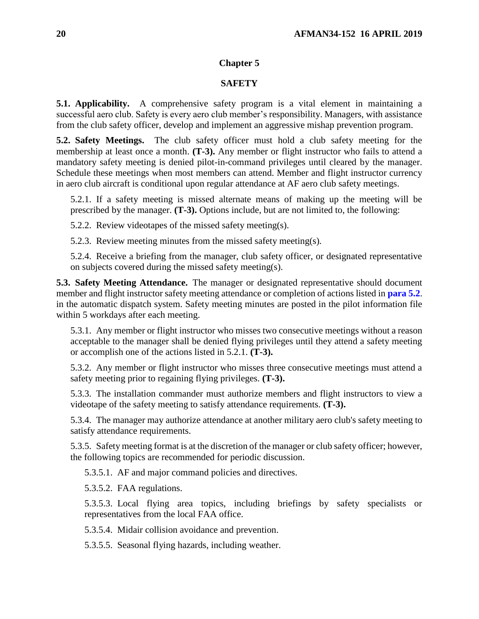## **Chapter 5**

### **SAFETY**

<span id="page-19-1"></span><span id="page-19-0"></span>**5.1. Applicability.** A comprehensive safety program is a vital element in maintaining a successful aero club. Safety is every aero club member's responsibility. Managers, with assistance from the club safety officer, develop and implement an aggressive mishap prevention program.

<span id="page-19-2"></span>**5.2. Safety Meetings.** The club safety officer must hold a club safety meeting for the membership at least once a month. **(T-3).** Any member or flight instructor who fails to attend a mandatory safety meeting is denied pilot-in-command privileges until cleared by the manager. Schedule these meetings when most members can attend. Member and flight instructor currency in aero club aircraft is conditional upon regular attendance at AF aero club safety meetings.

5.2.1. If a safety meeting is missed alternate means of making up the meeting will be prescribed by the manager. **(T-3).** Options include, but are not limited to, the following:

5.2.2. Review videotapes of the missed safety meeting(s).

5.2.3. Review meeting minutes from the missed safety meeting(s).

5.2.4. Receive a briefing from the manager, club safety officer, or designated representative on subjects covered during the missed safety meeting(s).

<span id="page-19-3"></span>**5.3. Safety Meeting Attendance.** The manager or designated representative should document member and flight instructor safety meeting attendance or completion of actions listed in **[para 5.2](#page-19-2)**. in the automatic dispatch system. Safety meeting minutes are posted in the pilot information file within 5 workdays after each meeting.

5.3.1. Any member or flight instructor who misses two consecutive meetings without a reason acceptable to the manager shall be denied flying privileges until they attend a safety meeting or accomplish one of the actions listed in 5.2.1. **(T-3).**

5.3.2. Any member or flight instructor who misses three consecutive meetings must attend a safety meeting prior to regaining flying privileges. **(T-3).**

5.3.3. The installation commander must authorize members and flight instructors to view a videotape of the safety meeting to satisfy attendance requirements. **(T-3).**

5.3.4. The manager may authorize attendance at another military aero club's safety meeting to satisfy attendance requirements.

5.3.5. Safety meeting format is at the discretion of the manager or club safety officer; however, the following topics are recommended for periodic discussion.

5.3.5.1. AF and major command policies and directives.

5.3.5.2. FAA regulations.

5.3.5.3. Local flying area topics, including briefings by safety specialists or representatives from the local FAA office.

5.3.5.4. Midair collision avoidance and prevention.

5.3.5.5. Seasonal flying hazards, including weather.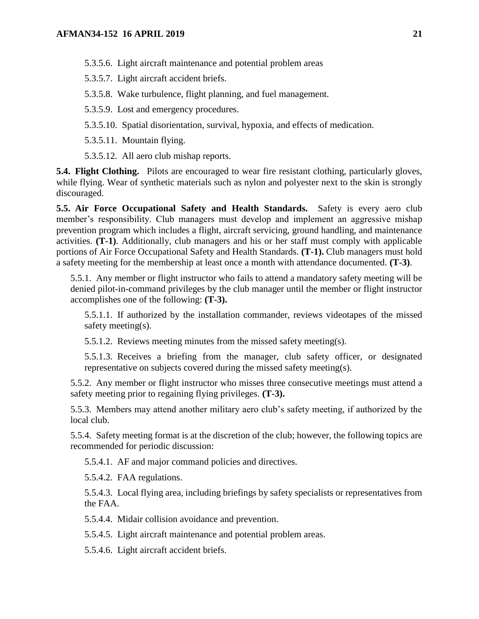- 5.3.5.6. Light aircraft maintenance and potential problem areas
- 5.3.5.7. Light aircraft accident briefs.
- 5.3.5.8. Wake turbulence, flight planning, and fuel management.
- 5.3.5.9. Lost and emergency procedures.
- 5.3.5.10. Spatial disorientation, survival, hypoxia, and effects of medication.
- 5.3.5.11. Mountain flying.
- 5.3.5.12. All aero club mishap reports.

<span id="page-20-0"></span>**5.4. Flight Clothing.** Pilots are encouraged to wear fire resistant clothing, particularly gloves, while flying. Wear of synthetic materials such as nylon and polyester next to the skin is strongly discouraged.

<span id="page-20-1"></span>**5.5. Air Force Occupational Safety and Health Standards.** Safety is every aero club member's responsibility. Club managers must develop and implement an aggressive mishap prevention program which includes a flight, aircraft servicing, ground handling, and maintenance activities. **(T-1)**. Additionally, club managers and his or her staff must comply with applicable portions of Air Force Occupational Safety and Health Standards. **(T-1).** Club managers must hold a safety meeting for the membership at least once a month with attendance documented. **(T-3)**.

5.5.1. Any member or flight instructor who fails to attend a mandatory safety meeting will be denied pilot-in-command privileges by the club manager until the member or flight instructor accomplishes one of the following: **(T-3).**

5.5.1.1. If authorized by the installation commander, reviews videotapes of the missed safety meeting(s).

5.5.1.2. Reviews meeting minutes from the missed safety meeting(s).

5.5.1.3. Receives a briefing from the manager, club safety officer, or designated representative on subjects covered during the missed safety meeting(s).

5.5.2. Any member or flight instructor who misses three consecutive meetings must attend a safety meeting prior to regaining flying privileges. **(T-3).**

5.5.3. Members may attend another military aero club's safety meeting, if authorized by the local club.

5.5.4. Safety meeting format is at the discretion of the club; however, the following topics are recommended for periodic discussion:

5.5.4.1. AF and major command policies and directives.

5.5.4.2. FAA regulations.

5.5.4.3. Local flying area, including briefings by safety specialists or representatives from the FAA.

5.5.4.4. Midair collision avoidance and prevention.

5.5.4.5. Light aircraft maintenance and potential problem areas.

5.5.4.6. Light aircraft accident briefs.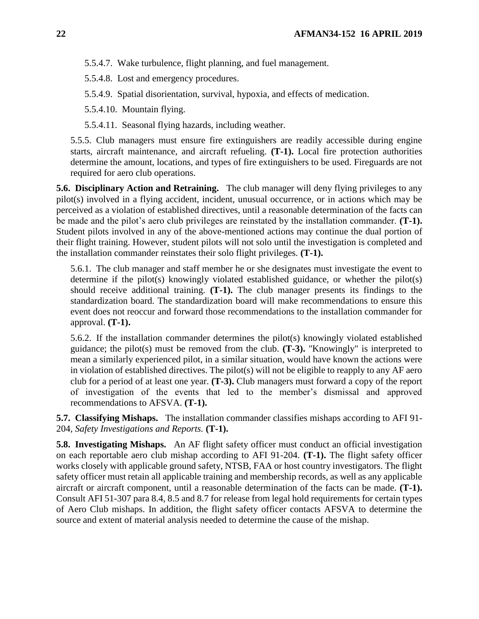5.5.4.7. Wake turbulence, flight planning, and fuel management.

5.5.4.8. Lost and emergency procedures.

5.5.4.9. Spatial disorientation, survival, hypoxia, and effects of medication.

5.5.4.10. Mountain flying.

5.5.4.11. Seasonal flying hazards, including weather.

5.5.5. Club managers must ensure fire extinguishers are readily accessible during engine starts, aircraft maintenance, and aircraft refueling. **(T-1).** Local fire protection authorities determine the amount, locations, and types of fire extinguishers to be used. Fireguards are not required for aero club operations.

<span id="page-21-0"></span>**5.6. Disciplinary Action and Retraining.** The club manager will deny flying privileges to any pilot(s) involved in a flying accident, incident, unusual occurrence, or in actions which may be perceived as a violation of established directives, until a reasonable determination of the facts can be made and the pilot's aero club privileges are reinstated by the installation commander. **(T-1).** Student pilots involved in any of the above-mentioned actions may continue the dual portion of their flight training. However, student pilots will not solo until the investigation is completed and the installation commander reinstates their solo flight privileges. **(T-1).**

5.6.1. The club manager and staff member he or she designates must investigate the event to determine if the pilot(s) knowingly violated established guidance, or whether the pilot(s) should receive additional training. **(T-1).** The club manager presents its findings to the standardization board. The standardization board will make recommendations to ensure this event does not reoccur and forward those recommendations to the installation commander for approval. **(T-1).**

5.6.2. If the installation commander determines the pilot(s) knowingly violated established guidance; the pilot(s) must be removed from the club. **(T-3).** "Knowingly" is interpreted to mean a similarly experienced pilot, in a similar situation, would have known the actions were in violation of established directives. The pilot(s) will not be eligible to reapply to any AF aero club for a period of at least one year. **(T-3).** Club managers must forward a copy of the report of investigation of the events that led to the member's dismissal and approved recommendations to AFSVA. **(T-1).**

<span id="page-21-1"></span>**5.7. Classifying Mishaps.** The installation commander classifies mishaps according to AFI 91- 204, *Safety Investigations and Reports.* **(T-1).**

<span id="page-21-3"></span><span id="page-21-2"></span>**5.8. Investigating Mishaps.** An AF flight safety officer must conduct an official investigation on each reportable aero club mishap according to AFI 91-204. **(T-1).** The flight safety officer works closely with applicable ground safety, NTSB, FAA or host country investigators. The flight safety officer must retain all applicable training and membership records, as well as any applicable aircraft or aircraft component, until a reasonable determination of the facts can be made. **(T-1).** Consult AFI 51-307 para 8.4, 8.5 and 8.7 for release from legal hold requirements for certain types of Aero Club mishaps. In addition, the flight safety officer contacts AFSVA to determine the source and extent of material analysis needed to determine the cause of the mishap.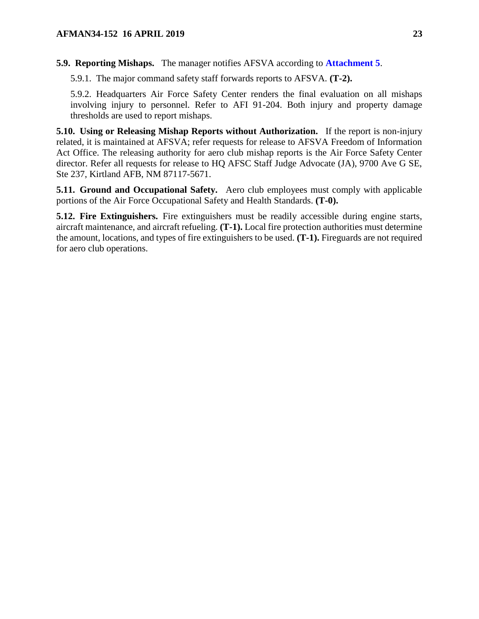## **5.9. Reporting Mishaps.** The manager notifies AFSVA according to **[Attachment 5](#page-49-0)**.

5.9.1. The major command safety staff forwards reports to AFSVA. **(T-2).**

5.9.2. Headquarters Air Force Safety Center renders the final evaluation on all mishaps involving injury to personnel. Refer to AFI 91-204. Both injury and property damage thresholds are used to report mishaps.

<span id="page-22-0"></span>**5.10. Using or Releasing Mishap Reports without Authorization.** If the report is non-injury related, it is maintained at AFSVA; refer requests for release to AFSVA Freedom of Information Act Office. The releasing authority for aero club mishap reports is the Air Force Safety Center director. Refer all requests for release to HQ AFSC Staff Judge Advocate (JA), 9700 Ave G SE, Ste 237, Kirtland AFB, NM 87117-5671.

<span id="page-22-1"></span>**5.11. Ground and Occupational Safety.** Aero club employees must comply with applicable portions of the Air Force Occupational Safety and Health Standards. **(T-0).**

<span id="page-22-2"></span>**5.12. Fire Extinguishers.** Fire extinguishers must be readily accessible during engine starts, aircraft maintenance, and aircraft refueling. **(T-1).** Local fire protection authorities must determine the amount, locations, and types of fire extinguishers to be used. **(T-1).** Fireguards are not required for aero club operations.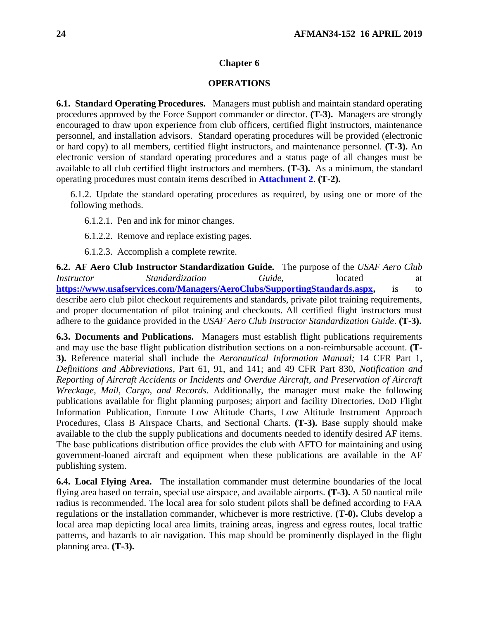#### **Chapter 6**

### **OPERATIONS**

<span id="page-23-1"></span><span id="page-23-0"></span>**6.1. Standard Operating Procedures.** Managers must publish and maintain standard operating procedures approved by the Force Support commander or director. **(T-3).** Managers are strongly encouraged to draw upon experience from club officers, certified flight instructors, maintenance personnel, and installation advisors. Standard operating procedures will be provided (electronic or hard copy) to all members, certified flight instructors, and maintenance personnel. **(T-3).** An electronic version of standard operating procedures and a status page of all changes must be available to all club certified flight instructors and members. **(T-3).** As a minimum, the standard operating procedures must contain items described in **[Attachment 2](#page-44-0)**. **(T-2).**

6.1.2. Update the standard operating procedures as required, by using one or more of the following methods.

6.1.2.1. Pen and ink for minor changes.

6.1.2.2. Remove and replace existing pages.

6.1.2.3. Accomplish a complete rewrite.

<span id="page-23-2"></span>**6.2. AF Aero Club Instructor Standardization Guide.** The purpose of the *USAF Aero Club Instructor Standardization Guide,* located at **[https://www.usafservices.com/Managers/AeroClubs/SupportingStandards.aspx,](https://www.usafservices.com/Managers/AeroClubs/SupportingStandards.aspx)** is to describe aero club pilot checkout requirements and standards, private pilot training requirements, and proper documentation of pilot training and checkouts. All certified flight instructors must adhere to the guidance provided in the *USAF Aero Club Instructor Standardization Guide*. **(T-3).**

<span id="page-23-3"></span>**6.3. Documents and Publications.** Managers must establish flight publications requirements and may use the base flight publication distribution sections on a non-reimbursable account. **(T-3).** Reference material shall include the *Aeronautical Information Manual;* 14 CFR Part 1, *Definitions and Abbreviations*, Part 61, 91, and 141; and 49 CFR Part 830, *Notification and Reporting of Aircraft Accidents or Incidents and Overdue Aircraft, and Preservation of Aircraft Wreckage, Mail, Cargo, and Records*. Additionally, the manager must make the following publications available for flight planning purposes; airport and facility Directories*,* DoD Flight Information Publication, Enroute Low Altitude Charts, Low Altitude Instrument Approach Procedures, Class B Airspace Charts, and Sectional Charts*.* **(T-3).** Base supply should make available to the club the supply publications and documents needed to identify desired AF items. The base publications distribution office provides the club with AFTO for maintaining and using government-loaned aircraft and equipment when these publications are available in the AF publishing system.

<span id="page-23-4"></span>**6.4. Local Flying Area.** The installation commander must determine boundaries of the local flying area based on terrain, special use airspace, and available airports. **(T-3).** A 50 nautical mile radius is recommended. The local area for solo student pilots shall be defined according to FAA regulations or the installation commander, whichever is more restrictive. **(T-0).** Clubs develop a local area map depicting local area limits, training areas, ingress and egress routes, local traffic patterns, and hazards to air navigation. This map should be prominently displayed in the flight planning area. **(T-3).**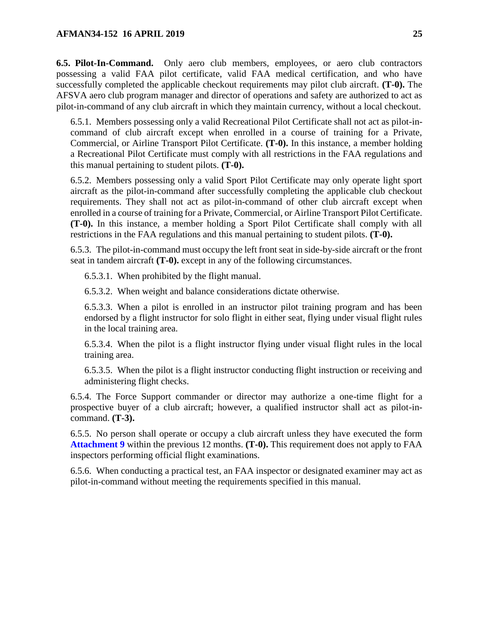<span id="page-24-0"></span>**6.5. Pilot-In-Command.** Only aero club members, employees, or aero club contractors possessing a valid FAA pilot certificate, valid FAA medical certification, and who have successfully completed the applicable checkout requirements may pilot club aircraft. **(T-0).** The AFSVA aero club program manager and director of operations and safety are authorized to act as pilot-in-command of any club aircraft in which they maintain currency, without a local checkout.

6.5.1. Members possessing only a valid Recreational Pilot Certificate shall not act as pilot-incommand of club aircraft except when enrolled in a course of training for a Private, Commercial, or Airline Transport Pilot Certificate. **(T-0).** In this instance, a member holding a Recreational Pilot Certificate must comply with all restrictions in the FAA regulations and this manual pertaining to student pilots. **(T-0).**

6.5.2. Members possessing only a valid Sport Pilot Certificate may only operate light sport aircraft as the pilot-in-command after successfully completing the applicable club checkout requirements. They shall not act as pilot-in-command of other club aircraft except when enrolled in a course of training for a Private, Commercial, or Airline Transport Pilot Certificate. **(T-0).** In this instance, a member holding a Sport Pilot Certificate shall comply with all restrictions in the FAA regulations and this manual pertaining to student pilots. **(T-0).**

6.5.3. The pilot-in-command must occupy the left front seat in side-by-side aircraft or the front seat in tandem aircraft **(T-0).** except in any of the following circumstances.

6.5.3.1. When prohibited by the flight manual.

6.5.3.2. When weight and balance considerations dictate otherwise.

6.5.3.3. When a pilot is enrolled in an instructor pilot training program and has been endorsed by a flight instructor for solo flight in either seat, flying under visual flight rules in the local training area.

6.5.3.4. When the pilot is a flight instructor flying under visual flight rules in the local training area.

6.5.3.5. When the pilot is a flight instructor conducting flight instruction or receiving and administering flight checks.

6.5.4. The Force Support commander or director may authorize a one-time flight for a prospective buyer of a club aircraft; however, a qualified instructor shall act as pilot-incommand. **(T-3).**

6.5.5. No person shall operate or occupy a club aircraft unless they have executed the form **[Attachment 9](#page-56-0)** within the previous 12 months. **(T-0).** This requirement does not apply to FAA inspectors performing official flight examinations.

<span id="page-24-1"></span>6.5.6. When conducting a practical test, an FAA inspector or designated examiner may act as pilot-in-command without meeting the requirements specified in this manual.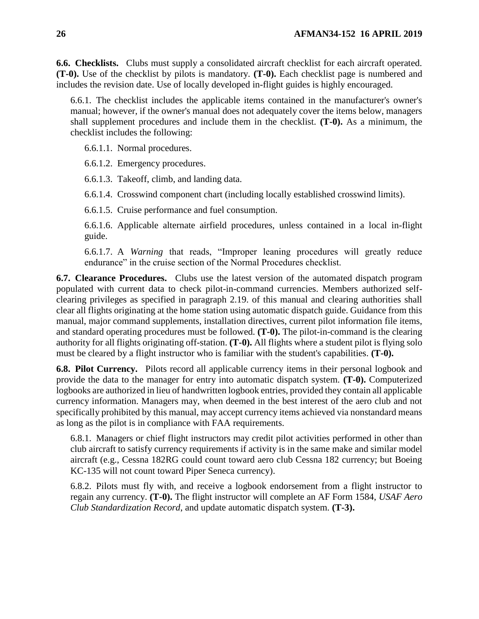**6.6. Checklists.** Clubs must supply a consolidated aircraft checklist for each aircraft operated. **(T-0).** Use of the checklist by pilots is mandatory. **(T-0).** Each checklist page is numbered and includes the revision date. Use of locally developed in-flight guides is highly encouraged.

6.6.1. The checklist includes the applicable items contained in the manufacturer's owner's manual; however, if the owner's manual does not adequately cover the items below, managers shall supplement procedures and include them in the checklist. **(T-0).** As a minimum, the checklist includes the following:

6.6.1.1. Normal procedures.

6.6.1.2. Emergency procedures.

6.6.1.3. Takeoff, climb, and landing data.

6.6.1.4. Crosswind component chart (including locally established crosswind limits).

6.6.1.5. Cruise performance and fuel consumption.

6.6.1.6. Applicable alternate airfield procedures, unless contained in a local in-flight guide.

6.6.1.7. A *Warning* that reads, "Improper leaning procedures will greatly reduce endurance" in the cruise section of the Normal Procedures checklist.

<span id="page-25-0"></span>**6.7. Clearance Procedures.** Clubs use the latest version of the automated dispatch program populated with current data to check pilot-in-command currencies. Members authorized selfclearing privileges as specified in paragraph 2.19. of this manual and clearing authorities shall clear all flights originating at the home station using automatic dispatch guide. Guidance from this manual, major command supplements, installation directives, current pilot information file items, and standard operating procedures must be followed. **(T-0).** The pilot-in-command is the clearing authority for all flights originating off-station. **(T-0).** All flights where a student pilot is flying solo must be cleared by a flight instructor who is familiar with the student's capabilities. **(T-0).**

<span id="page-25-1"></span>**6.8. Pilot Currency.** Pilots record all applicable currency items in their personal logbook and provide the data to the manager for entry into automatic dispatch system. **(T-0).** Computerized logbooks are authorized in lieu of handwritten logbook entries, provided they contain all applicable currency information. Managers may, when deemed in the best interest of the aero club and not specifically prohibited by this manual, may accept currency items achieved via nonstandard means as long as the pilot is in compliance with FAA requirements.

6.8.1. Managers or chief flight instructors may credit pilot activities performed in other than club aircraft to satisfy currency requirements if activity is in the same make and similar model aircraft (e.g., Cessna 182RG could count toward aero club Cessna 182 currency; but Boeing KC-135 will not count toward Piper Seneca currency).

6.8.2. Pilots must fly with, and receive a logbook endorsement from a flight instructor to regain any currency. **(T-0).** The flight instructor will complete an AF Form 1584, *USAF Aero Club Standardization Record*, and update automatic dispatch system. **(T-3).**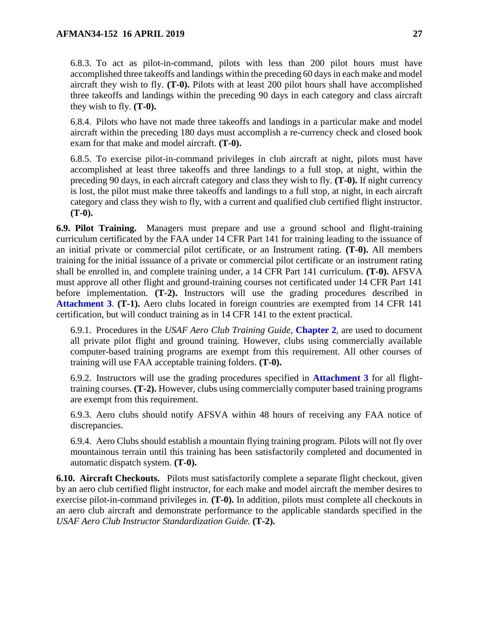6.8.3. To act as pilot-in-command, pilots with less than 200 pilot hours must have accomplished three takeoffs and landings within the preceding 60 days in each make and model aircraft they wish to fly. **(T-0).** Pilots with at least 200 pilot hours shall have accomplished three takeoffs and landings within the preceding 90 days in each category and class aircraft they wish to fly. **(T-0).**

6.8.4. Pilots who have not made three takeoffs and landings in a particular make and model aircraft within the preceding 180 days must accomplish a re-currency check and closed book exam for that make and model aircraft. **(T-0).**

6.8.5. To exercise pilot-in-command privileges in club aircraft at night, pilots must have accomplished at least three takeoffs and three landings to a full stop, at night, within the preceding 90 days, in each aircraft category and class they wish to fly. **(T-0).** If night currency is lost, the pilot must make three takeoffs and landings to a full stop, at night, in each aircraft category and class they wish to fly, with a current and qualified club certified flight instructor. **(T-0).**

<span id="page-26-0"></span>**6.9. Pilot Training.** Managers must prepare and use a ground school and flight-training curriculum certificated by the FAA under 14 CFR Part 141 for training leading to the issuance of an initial private or commercial pilot certificate, or an Instrument rating. **(T-0).** All members training for the initial issuance of a private or commercial pilot certificate or an instrument rating shall be enrolled in, and complete training under, a 14 CFR Part 141 curriculum. **(T-0).** AFSVA must approve all other flight and ground-training courses not certificated under 14 CFR Part 141 before implementation. **(T-2).** Instructors will use the grading procedures described in **[Attachment 3](#page-45-0)**. **(T-1).** Aero clubs located in foreign countries are exempted from 14 CFR 141 certification, but will conduct training as in 14 CFR 141 to the extent practical.

6.9.1. Procedures in the *USAF Aero Club Training Guide*, **[Chapter 2](#page-7-0)**, are used to document all private pilot flight and ground training. However, clubs using commercially available computer-based training programs are exempt from this requirement. All other courses of training will use FAA acceptable training folders. **(T-0).**

6.9.2. Instructors will use the grading procedures specified in **[Attachment 3](#page-45-0)** for all flighttraining courses. **(T-2).** However, clubs using commercially computer based training programs are exempt from this requirement.

6.9.3. Aero clubs should notify AFSVA within 48 hours of receiving any FAA notice of discrepancies.

6.9.4. Aero Clubs should establish a mountain flying training program. Pilots will not fly over mountainous terrain until this training has been satisfactorily completed and documented in automatic dispatch system. **(T-0).**

<span id="page-26-1"></span>**6.10. Aircraft Checkouts.** Pilots must satisfactorily complete a separate flight checkout, given by an aero club certified flight instructor, for each make and model aircraft the member desires to exercise pilot-in-command privileges in. **(T-0).** In addition, pilots must complete all checkouts in an aero club aircraft and demonstrate performance to the applicable standards specified in the *USAF Aero Club Instructor Standardization Guide.* **(T-2).**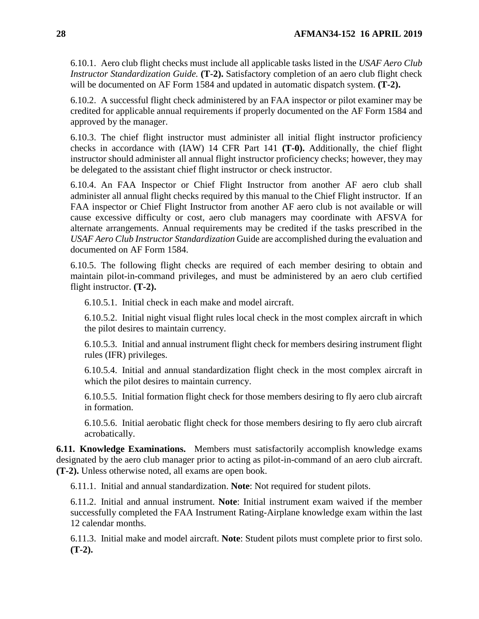6.10.1. Aero club flight checks must include all applicable tasks listed in the *USAF Aero Club Instructor Standardization Guide.* **(T-2).** Satisfactory completion of an aero club flight check will be documented on AF Form 1584 and updated in automatic dispatch system. **(T-2).**

6.10.2. A successful flight check administered by an FAA inspector or pilot examiner may be credited for applicable annual requirements if properly documented on the AF Form 1584 and approved by the manager.

6.10.3. The chief flight instructor must administer all initial flight instructor proficiency checks in accordance with (IAW) 14 CFR Part 141 **(T-0).** Additionally, the chief flight instructor should administer all annual flight instructor proficiency checks; however, they may be delegated to the assistant chief flight instructor or check instructor.

6.10.4. An FAA Inspector or Chief Flight Instructor from another AF aero club shall administer all annual flight checks required by this manual to the Chief Flight instructor. If an FAA inspector or Chief Flight Instructor from another AF aero club is not available or will cause excessive difficulty or cost, aero club managers may coordinate with AFSVA for alternate arrangements. Annual requirements may be credited if the tasks prescribed in the *USAF Aero Club Instructor Standardization* Guide are accomplished during the evaluation and documented on AF Form 1584.

6.10.5. The following flight checks are required of each member desiring to obtain and maintain pilot-in-command privileges, and must be administered by an aero club certified flight instructor. **(T-2).**

6.10.5.1. Initial check in each make and model aircraft.

6.10.5.2. Initial night visual flight rules local check in the most complex aircraft in which the pilot desires to maintain currency.

6.10.5.3. Initial and annual instrument flight check for members desiring instrument flight rules (IFR) privileges.

6.10.5.4. Initial and annual standardization flight check in the most complex aircraft in which the pilot desires to maintain currency.

6.10.5.5. Initial formation flight check for those members desiring to fly aero club aircraft in formation.

6.10.5.6. Initial aerobatic flight check for those members desiring to fly aero club aircraft acrobatically.

<span id="page-27-0"></span>**6.11. Knowledge Examinations.** Members must satisfactorily accomplish knowledge exams designated by the aero club manager prior to acting as pilot-in-command of an aero club aircraft. **(T-2).** Unless otherwise noted, all exams are open book.

6.11.1. Initial and annual standardization. **Note**: Not required for student pilots.

6.11.2. Initial and annual instrument. **Note**: Initial instrument exam waived if the member successfully completed the FAA Instrument Rating-Airplane knowledge exam within the last 12 calendar months.

6.11.3. Initial make and model aircraft. **Note**: Student pilots must complete prior to first solo. **(T-2).**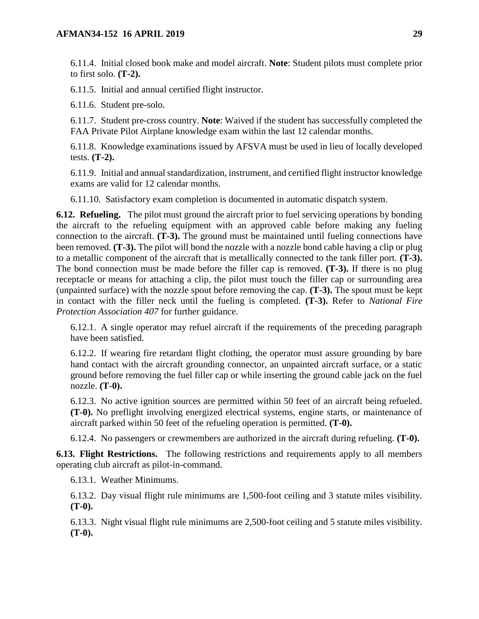6.11.4. Initial closed book make and model aircraft. **Note**: Student pilots must complete prior to first solo. **(T-2).**

6.11.5. Initial and annual certified flight instructor.

6.11.6. Student pre-solo.

6.11.7. Student pre-cross country. **Note**: Waived if the student has successfully completed the FAA Private Pilot Airplane knowledge exam within the last 12 calendar months.

6.11.8. Knowledge examinations issued by AFSVA must be used in lieu of locally developed tests. **(T-2).**

6.11.9. Initial and annual standardization, instrument, and certified flight instructor knowledge exams are valid for 12 calendar months.

6.11.10. Satisfactory exam completion is documented in automatic dispatch system.

<span id="page-28-0"></span>**6.12. Refueling.** The pilot must ground the aircraft prior to fuel servicing operations by bonding the aircraft to the refueling equipment with an approved cable before making any fueling connection to the aircraft. **(T-3).** The ground must be maintained until fueling connections have been removed. **(T-3).** The pilot will bond the nozzle with a nozzle bond cable having a clip or plug to a metallic component of the aircraft that is metallically connected to the tank filler port. **(T-3).** The bond connection must be made before the filler cap is removed. **(T-3).** If there is no plug receptacle or means for attaching a clip, the pilot must touch the filler cap or surrounding area (unpainted surface) with the nozzle spout before removing the cap. **(T-3).** The spout must be kept in contact with the filler neck until the fueling is completed. **(T-3).** Refer to *National Fire Protection Association 407* for further guidance.

6.12.1. A single operator may refuel aircraft if the requirements of the preceding paragraph have been satisfied.

6.12.2. If wearing fire retardant flight clothing, the operator must assure grounding by bare hand contact with the aircraft grounding connector, an unpainted aircraft surface, or a static ground before removing the fuel filler cap or while inserting the ground cable jack on the fuel nozzle. **(T-0).**

6.12.3. No active ignition sources are permitted within 50 feet of an aircraft being refueled. **(T-0).** No preflight involving energized electrical systems, engine starts, or maintenance of aircraft parked within 50 feet of the refueling operation is permitted. **(T-0).**

6.12.4. No passengers or crewmembers are authorized in the aircraft during refueling. **(T-0).**

<span id="page-28-1"></span>**6.13. Flight Restrictions.** The following restrictions and requirements apply to all members operating club aircraft as pilot-in-command.

6.13.1. Weather Minimums.

6.13.2. Day visual flight rule minimums are 1,500-foot ceiling and 3 statute miles visibility. **(T-0).**

6.13.3. Night visual flight rule minimums are 2,500-foot ceiling and 5 statute miles visibility. **(T-0).**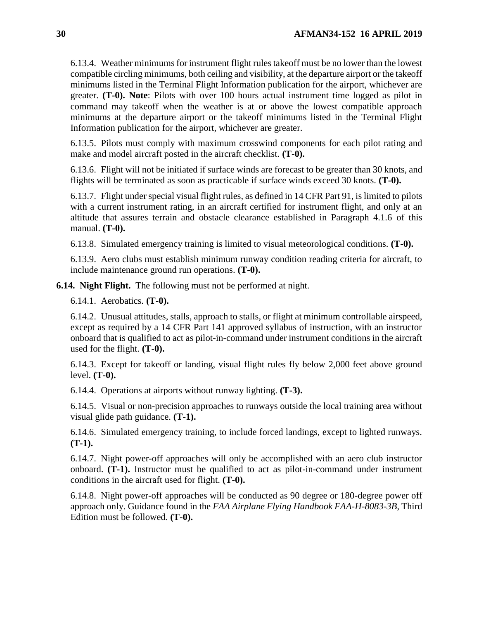6.13.4. Weather minimums for instrument flight rules takeoff must be no lower than the lowest compatible circling minimums, both ceiling and visibility, at the departure airport or the takeoff minimums listed in the Terminal Flight Information publication for the airport, whichever are greater. **(T-0). Note**: Pilots with over 100 hours actual instrument time logged as pilot in command may takeoff when the weather is at or above the lowest compatible approach minimums at the departure airport or the takeoff minimums listed in the Terminal Flight Information publication for the airport, whichever are greater.

6.13.5. Pilots must comply with maximum crosswind components for each pilot rating and make and model aircraft posted in the aircraft checklist. **(T-0).**

6.13.6. Flight will not be initiated if surface winds are forecast to be greater than 30 knots, and flights will be terminated as soon as practicable if surface winds exceed 30 knots. **(T-0).**

6.13.7. Flight under special visual flight rules, as defined in 14 CFR Part 91, is limited to pilots with a current instrument rating, in an aircraft certified for instrument flight, and only at an altitude that assures terrain and obstacle clearance established in Paragraph 4.1.6 of this manual. **(T-0).**

6.13.8. Simulated emergency training is limited to visual meteorological conditions. **(T-0).**

6.13.9. Aero clubs must establish minimum runway condition reading criteria for aircraft, to include maintenance ground run operations. **(T-0).**

<span id="page-29-0"></span>**6.14. Night Flight.** The following must not be performed at night.

6.14.1. Aerobatics. **(T-0).**

6.14.2. Unusual attitudes, stalls, approach to stalls, or flight at minimum controllable airspeed, except as required by a 14 CFR Part 141 approved syllabus of instruction, with an instructor onboard that is qualified to act as pilot-in-command under instrument conditions in the aircraft used for the flight. **(T-0).**

6.14.3. Except for takeoff or landing, visual flight rules fly below 2,000 feet above ground level. **(T-0).**

6.14.4. Operations at airports without runway lighting. **(T-3).**

6.14.5. Visual or non-precision approaches to runways outside the local training area without visual glide path guidance. **(T-1).**

6.14.6. Simulated emergency training, to include forced landings, except to lighted runways. **(T-1).**

6.14.7. Night power-off approaches will only be accomplished with an aero club instructor onboard. **(T-1).** Instructor must be qualified to act as pilot-in-command under instrument conditions in the aircraft used for flight. **(T-0).**

6.14.8. Night power-off approaches will be conducted as 90 degree or 180-degree power off approach only. Guidance found in the *FAA Airplane Flying Handbook FAA-H-8083-3B*, Third Edition must be followed. **(T-0).**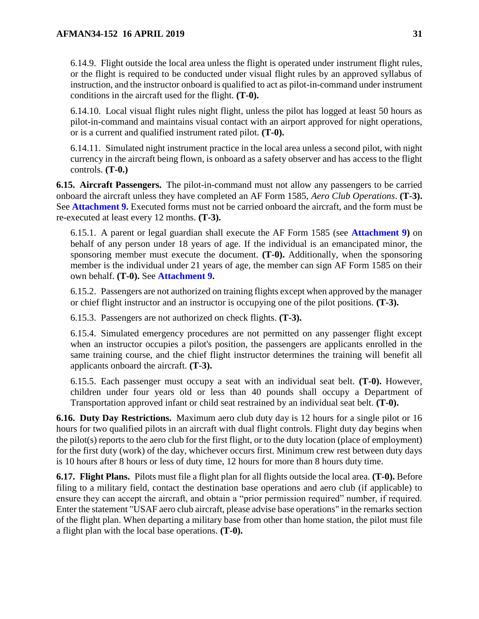6.14.9. Flight outside the local area unless the flight is operated under instrument flight rules, or the flight is required to be conducted under visual flight rules by an approved syllabus of instruction, and the instructor onboard is qualified to act as pilot-in-command under instrument conditions in the aircraft used for the flight. **(T-0).**

6.14.10. Local visual flight rules night flight, unless the pilot has logged at least 50 hours as pilot-in-command and maintains visual contact with an airport approved for night operations, or is a current and qualified instrument rated pilot. **(T-0).**

6.14.11. Simulated night instrument practice in the local area unless a second pilot, with night currency in the aircraft being flown, is onboard as a safety observer and has access to the flight controls. **(T-0.)**

<span id="page-30-0"></span>**6.15. Aircraft Passengers.** The pilot-in-command must not allow any passengers to be carried onboard the aircraft unless they have completed an AF Form 1585, *Aero Club Operations*. **(T-3).**  See **[Attachment 9.](#page-56-0)** Executed forms must not be carried onboard the aircraft, and the form must be re-executed at least every 12 months. **(T-3).**

6.15.1. A parent or legal guardian shall execute the AF Form 1585 (see **[Attachment 9\)](#page-56-0)** on behalf of any person under 18 years of age. If the individual is an emancipated minor, the sponsoring member must execute the document. **(T-0).** Additionally, when the sponsoring member is the individual under 21 years of age, the member can sign AF Form 1585 on their own behalf. **(T-0).** See **[Attachment 9.](#page-56-0)**

6.15.2. Passengers are not authorized on training flights except when approved by the manager or chief flight instructor and an instructor is occupying one of the pilot positions. **(T-3).**

6.15.3. Passengers are not authorized on check flights. **(T-3).**

6.15.4. Simulated emergency procedures are not permitted on any passenger flight except when an instructor occupies a pilot's position, the passengers are applicants enrolled in the same training course, and the chief flight instructor determines the training will benefit all applicants onboard the aircraft. **(T-3).**

6.15.5. Each passenger must occupy a seat with an individual seat belt. **(T-0).** However, children under four years old or less than 40 pounds shall occupy a Department of Transportation approved infant or child seat restrained by an individual seat belt. **(T-0).**

<span id="page-30-1"></span>**6.16. Duty Day Restrictions.** Maximum aero club duty day is 12 hours for a single pilot or 16 hours for two qualified pilots in an aircraft with dual flight controls. Flight duty day begins when the pilot(s) reports to the aero club for the first flight, or to the duty location (place of employment) for the first duty (work) of the day, whichever occurs first. Minimum crew rest between duty days is 10 hours after 8 hours or less of duty time, 12 hours for more than 8 hours duty time.

<span id="page-30-3"></span><span id="page-30-2"></span>**6.17. Flight Plans.** Pilots must file a flight plan for all flights outside the local area. **(T-0).** Before filing to a military field, contact the destination base operations and aero club (if applicable) to ensure they can accept the aircraft, and obtain a "prior permission required" number, if required. Enter the statement "USAF aero club aircraft, please advise base operations" in the remarks section of the flight plan. When departing a military base from other than home station, the pilot must file a flight plan with the local base operations. **(T-0).**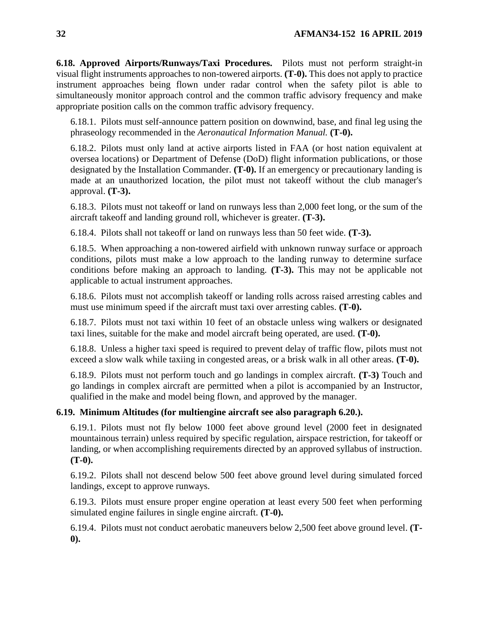**6.18. Approved Airports/Runways/Taxi Procedures.** Pilots must not perform straight-in visual flight instruments approaches to non-towered airports. **(T-0).** This does not apply to practice instrument approaches being flown under radar control when the safety pilot is able to simultaneously monitor approach control and the common traffic advisory frequency and make appropriate position calls on the common traffic advisory frequency.

6.18.1. Pilots must self-announce pattern position on downwind, base, and final leg using the phraseology recommended in the *Aeronautical Information Manual.* **(T-0).**

6.18.2. Pilots must only land at active airports listed in FAA (or host nation equivalent at oversea locations) or Department of Defense (DoD) flight information publications, or those designated by the Installation Commander. **(T-0).** If an emergency or precautionary landing is made at an unauthorized location, the pilot must not takeoff without the club manager's approval. **(T-3).** 

6.18.3. Pilots must not takeoff or land on runways less than 2,000 feet long, or the sum of the aircraft takeoff and landing ground roll, whichever is greater. **(T-3).**

6.18.4. Pilots shall not takeoff or land on runways less than 50 feet wide. **(T-3).**

6.18.5. When approaching a non-towered airfield with unknown runway surface or approach conditions, pilots must make a low approach to the landing runway to determine surface conditions before making an approach to landing. **(T-3).** This may not be applicable not applicable to actual instrument approaches.

6.18.6. Pilots must not accomplish takeoff or landing rolls across raised arresting cables and must use minimum speed if the aircraft must taxi over arresting cables. **(T-0).**

6.18.7. Pilots must not taxi within 10 feet of an obstacle unless wing walkers or designated taxi lines, suitable for the make and model aircraft being operated, are used. **(T-0).**

6.18.8. Unless a higher taxi speed is required to prevent delay of traffic flow, pilots must not exceed a slow walk while taxiing in congested areas, or a brisk walk in all other areas. **(T-0).**

6.18.9. Pilots must not perform touch and go landings in complex aircraft. **(T-3)** Touch and go landings in complex aircraft are permitted when a pilot is accompanied by an Instructor, qualified in the make and model being flown, and approved by the manager.

## <span id="page-31-0"></span>**6.19. Minimum Altitudes (for multiengine aircraft see also paragraph 6.20.).**

6.19.1. Pilots must not fly below 1000 feet above ground level (2000 feet in designated mountainous terrain) unless required by specific regulation, airspace restriction, for takeoff or landing, or when accomplishing requirements directed by an approved syllabus of instruction. **(T-0).**

6.19.2. Pilots shall not descend below 500 feet above ground level during simulated forced landings, except to approve runways.

6.19.3. Pilots must ensure proper engine operation at least every 500 feet when performing simulated engine failures in single engine aircraft. **(T-0).**

6.19.4. Pilots must not conduct aerobatic maneuvers below 2,500 feet above ground level. **(T-0).**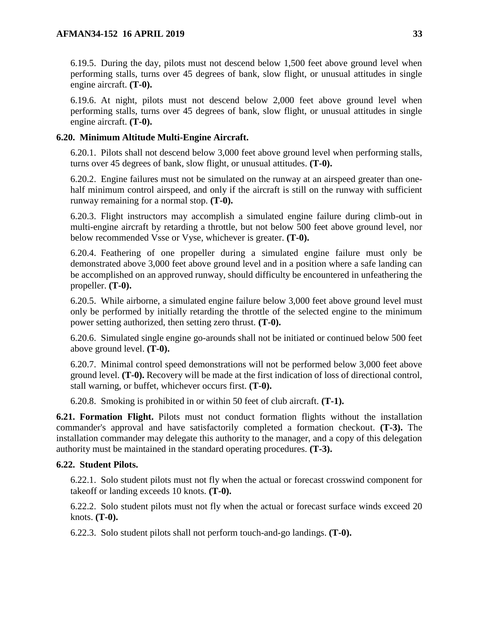6.19.5. During the day, pilots must not descend below 1,500 feet above ground level when performing stalls, turns over 45 degrees of bank, slow flight, or unusual attitudes in single engine aircraft. **(T-0).**

6.19.6. At night, pilots must not descend below 2,000 feet above ground level when performing stalls, turns over 45 degrees of bank, slow flight, or unusual attitudes in single engine aircraft. **(T-0).**

## <span id="page-32-0"></span>**6.20. Minimum Altitude Multi-Engine Aircraft.**

6.20.1. Pilots shall not descend below 3,000 feet above ground level when performing stalls, turns over 45 degrees of bank, slow flight, or unusual attitudes. **(T-0).**

6.20.2. Engine failures must not be simulated on the runway at an airspeed greater than onehalf minimum control airspeed, and only if the aircraft is still on the runway with sufficient runway remaining for a normal stop. **(T-0).**

6.20.3. Flight instructors may accomplish a simulated engine failure during climb-out in multi-engine aircraft by retarding a throttle, but not below 500 feet above ground level, nor below recommended Vsse or Vyse, whichever is greater. **(T-0).**

6.20.4. Feathering of one propeller during a simulated engine failure must only be demonstrated above 3,000 feet above ground level and in a position where a safe landing can be accomplished on an approved runway, should difficulty be encountered in unfeathering the propeller. **(T-0).**

6.20.5. While airborne, a simulated engine failure below 3,000 feet above ground level must only be performed by initially retarding the throttle of the selected engine to the minimum power setting authorized, then setting zero thrust. **(T-0).**

6.20.6. Simulated single engine go-arounds shall not be initiated or continued below 500 feet above ground level. **(T-0).**

6.20.7. Minimal control speed demonstrations will not be performed below 3,000 feet above ground level. **(T-0).** Recovery will be made at the first indication of loss of directional control, stall warning, or buffet, whichever occurs first. **(T-0).**

6.20.8. Smoking is prohibited in or within 50 feet of club aircraft. **(T-1).**

<span id="page-32-1"></span>**6.21. Formation Flight.** Pilots must not conduct formation flights without the installation commander's approval and have satisfactorily completed a formation checkout. **(T-3).** The installation commander may delegate this authority to the manager, and a copy of this delegation authority must be maintained in the standard operating procedures. **(T-3).**

## <span id="page-32-2"></span>**6.22. Student Pilots.**

6.22.1. Solo student pilots must not fly when the actual or forecast crosswind component for takeoff or landing exceeds 10 knots. **(T-0).**

6.22.2. Solo student pilots must not fly when the actual or forecast surface winds exceed 20 knots. **(T-0).**

6.22.3. Solo student pilots shall not perform touch-and-go landings. **(T-0).**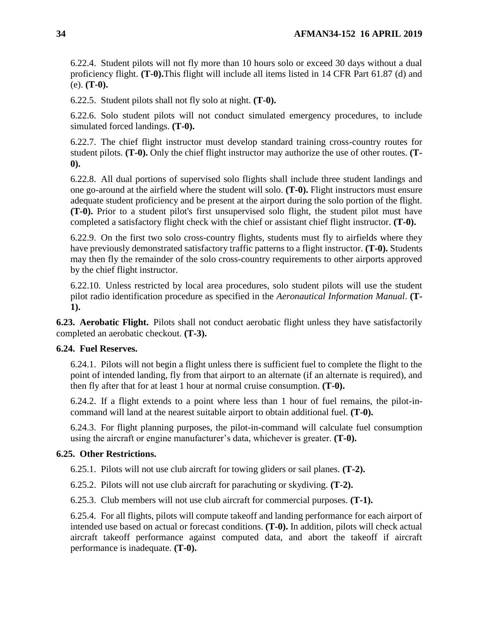6.22.4. Student pilots will not fly more than 10 hours solo or exceed 30 days without a dual proficiency flight. **(T-0).**This flight will include all items listed in 14 CFR Part 61.87 (d) and (e). **(T-0).**

6.22.5. Student pilots shall not fly solo at night. **(T-0).**

6.22.6. Solo student pilots will not conduct simulated emergency procedures, to include simulated forced landings. **(T-0).**

6.22.7. The chief flight instructor must develop standard training cross-country routes for student pilots. **(T-0).** Only the chief flight instructor may authorize the use of other routes. **(T-0).**

6.22.8. All dual portions of supervised solo flights shall include three student landings and one go-around at the airfield where the student will solo. **(T-0).** Flight instructors must ensure adequate student proficiency and be present at the airport during the solo portion of the flight. **(T-0).** Prior to a student pilot's first unsupervised solo flight, the student pilot must have completed a satisfactory flight check with the chief or assistant chief flight instructor. **(T-0).**

6.22.9. On the first two solo cross-country flights, students must fly to airfields where they have previously demonstrated satisfactory traffic patterns to a flight instructor. **(T-0).** Students may then fly the remainder of the solo cross-country requirements to other airports approved by the chief flight instructor.

6.22.10. Unless restricted by local area procedures, solo student pilots will use the student pilot radio identification procedure as specified in the *Aeronautical Information Manual*. **(T-1).**

<span id="page-33-0"></span>**6.23. Aerobatic Flight.** Pilots shall not conduct aerobatic flight unless they have satisfactorily completed an aerobatic checkout. **(T-3).**

## <span id="page-33-1"></span>**6.24. Fuel Reserves.**

6.24.1. Pilots will not begin a flight unless there is sufficient fuel to complete the flight to the point of intended landing, fly from that airport to an alternate (if an alternate is required), and then fly after that for at least 1 hour at normal cruise consumption. **(T-0).**

6.24.2. If a flight extends to a point where less than 1 hour of fuel remains, the pilot-incommand will land at the nearest suitable airport to obtain additional fuel. **(T-0).**

6.24.3. For flight planning purposes, the pilot-in-command will calculate fuel consumption using the aircraft or engine manufacturer's data, whichever is greater. **(T-0).**

## <span id="page-33-2"></span>**6.25. Other Restrictions.**

6.25.1. Pilots will not use club aircraft for towing gliders or sail planes. **(T-2).**

6.25.2. Pilots will not use club aircraft for parachuting or skydiving. **(T-2).**

6.25.3. Club members will not use club aircraft for commercial purposes. **(T-1).**

6.25.4. For all flights, pilots will compute takeoff and landing performance for each airport of intended use based on actual or forecast conditions. **(T-0).** In addition, pilots will check actual aircraft takeoff performance against computed data, and abort the takeoff if aircraft performance is inadequate. **(T-0).**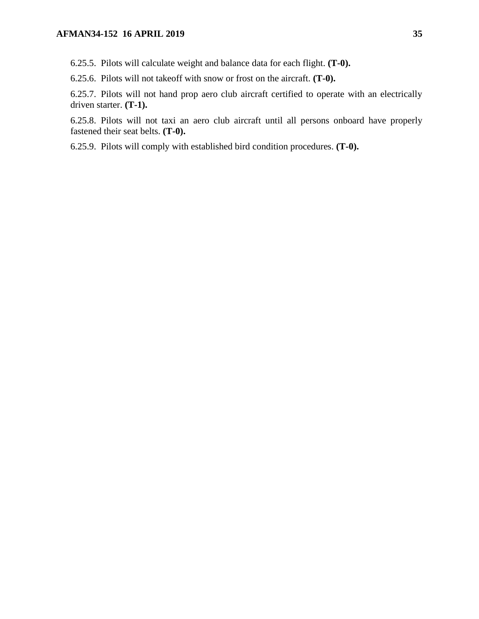6.25.5. Pilots will calculate weight and balance data for each flight. **(T-0).**

6.25.6. Pilots will not takeoff with snow or frost on the aircraft. **(T-0).**

6.25.7. Pilots will not hand prop aero club aircraft certified to operate with an electrically driven starter. **(T-1).**

6.25.8. Pilots will not taxi an aero club aircraft until all persons onboard have properly fastened their seat belts. **(T-0).**

6.25.9. Pilots will comply with established bird condition procedures. **(T-0).**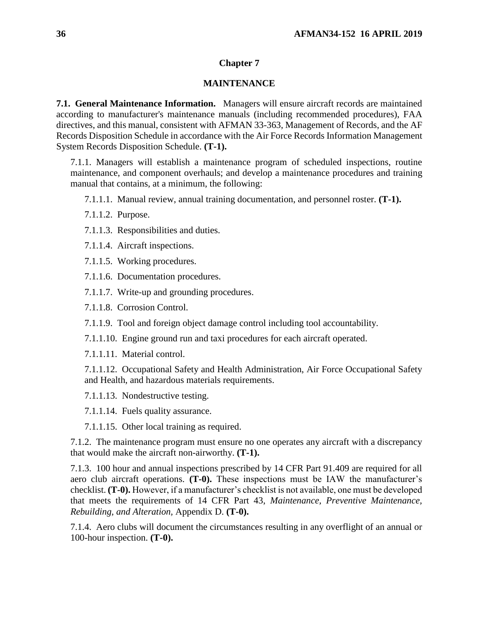### **Chapter 7**

### **MAINTENANCE**

<span id="page-35-1"></span><span id="page-35-0"></span>**7.1. General Maintenance Information.** Managers will ensure aircraft records are maintained according to manufacturer's maintenance manuals (including recommended procedures), FAA directives, and this manual, consistent with AFMAN 33-363, Management of Records, and the AF Records Disposition Schedule in accordance with the Air Force Records Information Management System Records Disposition Schedule. **(T-1).**

7.1.1. Managers will establish a maintenance program of scheduled inspections, routine maintenance, and component overhauls; and develop a maintenance procedures and training manual that contains, at a minimum, the following:

7.1.1.1. Manual review, annual training documentation, and personnel roster. **(T-1).**

7.1.1.2. Purpose.

7.1.1.3. Responsibilities and duties.

7.1.1.4. Aircraft inspections.

7.1.1.5. Working procedures.

7.1.1.6. Documentation procedures.

7.1.1.7. Write-up and grounding procedures.

7.1.1.8. Corrosion Control.

7.1.1.9. Tool and foreign object damage control including tool accountability.

7.1.1.10. Engine ground run and taxi procedures for each aircraft operated.

7.1.1.11. Material control.

7.1.1.12. Occupational Safety and Health Administration, Air Force Occupational Safety and Health, and hazardous materials requirements.

7.1.1.13. Nondestructive testing.

7.1.1.14. Fuels quality assurance.

7.1.1.15. Other local training as required.

7.1.2. The maintenance program must ensure no one operates any aircraft with a discrepancy that would make the aircraft non-airworthy. **(T-1).**

7.1.3. 100 hour and annual inspections prescribed by 14 CFR Part 91.409 are required for all aero club aircraft operations. **(T-0).** These inspections must be IAW the manufacturer's checklist. **(T-0).** However, if a manufacturer's checklist is not available, one must be developed that meets the requirements of 14 CFR Part 43, *Maintenance, Preventive Maintenance, Rebuilding, and Alteration,* Appendix D. **(T-0).**

7.1.4. Aero clubs will document the circumstances resulting in any overflight of an annual or 100-hour inspection. **(T-0).**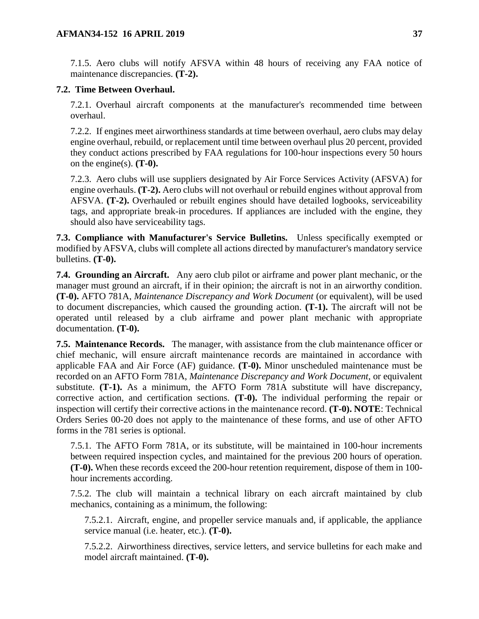7.1.5. Aero clubs will notify AFSVA within 48 hours of receiving any FAA notice of maintenance discrepancies. **(T-2).**

## <span id="page-36-0"></span>**7.2. Time Between Overhaul.**

7.2.1. Overhaul aircraft components at the manufacturer's recommended time between overhaul.

7.2.2. If engines meet airworthiness standards at time between overhaul, aero clubs may delay engine overhaul, rebuild, or replacement until time between overhaul plus 20 percent, provided they conduct actions prescribed by FAA regulations for 100-hour inspections every 50 hours on the engine(s).  $(T-0)$ .

7.2.3. Aero clubs will use suppliers designated by Air Force Services Activity (AFSVA) for engine overhauls. **(T-2).** Aero clubs will not overhaul or rebuild engines without approval from AFSVA. **(T-2).** Overhauled or rebuilt engines should have detailed logbooks, serviceability tags, and appropriate break-in procedures. If appliances are included with the engine, they should also have serviceability tags.

<span id="page-36-1"></span>**7.3. Compliance with Manufacturer's Service Bulletins.** Unless specifically exempted or modified by AFSVA, clubs will complete all actions directed by manufacturer's mandatory service bulletins. **(T-0).**

<span id="page-36-2"></span>**7.4. Grounding an Aircraft.** Any aero club pilot or airframe and power plant mechanic, or the manager must ground an aircraft, if in their opinion; the aircraft is not in an airworthy condition. **(T-0).** AFTO 781A, *Maintenance Discrepancy and Work Document* (or equivalent), will be used to document discrepancies, which caused the grounding action. **(T-1).** The aircraft will not be operated until released by a club airframe and power plant mechanic with appropriate documentation. **(T-0).**

<span id="page-36-3"></span>**7.5. Maintenance Records.** The manager, with assistance from the club maintenance officer or chief mechanic, will ensure aircraft maintenance records are maintained in accordance with applicable FAA and Air Force (AF) guidance. **(T-0).** Minor unscheduled maintenance must be recorded on an AFTO Form 781A, *Maintenance Discrepancy and Work Document*, or equivalent substitute. **(T-1).** As a minimum, the AFTO Form 781A substitute will have discrepancy, corrective action, and certification sections. **(T-0).** The individual performing the repair or inspection will certify their corrective actions in the maintenance record. **(T-0). NOTE**: Technical Orders Series 00-20 does not apply to the maintenance of these forms, and use of other AFTO forms in the 781 series is optional.

7.5.1. The AFTO Form 781A, or its substitute, will be maintained in 100-hour increments between required inspection cycles, and maintained for the previous 200 hours of operation. **(T-0).** When these records exceed the 200-hour retention requirement, dispose of them in 100 hour increments according.

7.5.2. The club will maintain a technical library on each aircraft maintained by club mechanics, containing as a minimum, the following:

7.5.2.1. Aircraft, engine, and propeller service manuals and, if applicable, the appliance service manual (i.e. heater, etc.). **(T-0).**

7.5.2.2. Airworthiness directives, service letters, and service bulletins for each make and model aircraft maintained. **(T-0).**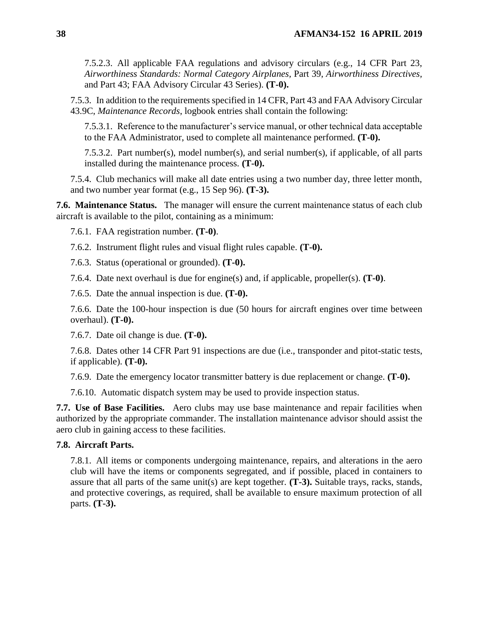7.5.2.3. All applicable FAA regulations and advisory circulars (e.g., 14 CFR Part 23, *Airworthiness Standards: Normal Category Airplanes,* Part 39, *Airworthiness Directives,* and Part 43; FAA Advisory Circular 43 Series). **(T-0).**

7.5.3. In addition to the requirements specified in 14 CFR, Part 43 and FAA Advisory Circular 43.9C, *Maintenance Records*, logbook entries shall contain the following:

7.5.3.1. Reference to the manufacturer's service manual, or other technical data acceptable to the FAA Administrator, used to complete all maintenance performed. **(T-0).**

7.5.3.2. Part number(s), model number(s), and serial number(s), if applicable, of all parts installed during the maintenance process. **(T-0).**

7.5.4. Club mechanics will make all date entries using a two number day, three letter month, and two number year format (e.g., 15 Sep 96). **(T-3).**

<span id="page-37-0"></span>**7.6. Maintenance Status.** The manager will ensure the current maintenance status of each club aircraft is available to the pilot, containing as a minimum:

7.6.1. FAA registration number. **(T-0)**.

7.6.2. Instrument flight rules and visual flight rules capable. **(T-0).**

7.6.3. Status (operational or grounded). **(T-0).**

7.6.4. Date next overhaul is due for engine(s) and, if applicable, propeller(s). **(T-0)**.

7.6.5. Date the annual inspection is due. **(T-0).**

7.6.6. Date the 100-hour inspection is due (50 hours for aircraft engines over time between overhaul). **(T-0).**

7.6.7. Date oil change is due. **(T-0).**

7.6.8. Dates other 14 CFR Part 91 inspections are due (i.e., transponder and pitot-static tests, if applicable). **(T-0).**

7.6.9. Date the emergency locator transmitter battery is due replacement or change. **(T-0).**

7.6.10. Automatic dispatch system may be used to provide inspection status.

<span id="page-37-1"></span>**7.7. Use of Base Facilities.** Aero clubs may use base maintenance and repair facilities when authorized by the appropriate commander. The installation maintenance advisor should assist the aero club in gaining access to these facilities.

#### <span id="page-37-2"></span>**7.8. Aircraft Parts.**

7.8.1. All items or components undergoing maintenance, repairs, and alterations in the aero club will have the items or components segregated, and if possible, placed in containers to assure that all parts of the same unit(s) are kept together. **(T-3).** Suitable trays, racks, stands, and protective coverings, as required, shall be available to ensure maximum protection of all parts. **(T-3).**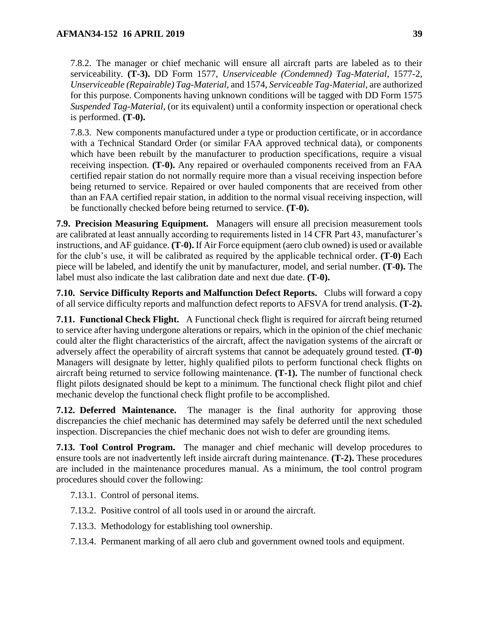7.8.2. The manager or chief mechanic will ensure all aircraft parts are labeled as to their serviceability. **(T-3).** DD Form 1577, *Unserviceable (Condemned) Tag-Material*, 1577-2, *Unserviceable (Repairable) Tag-Material*, and 1574, *Serviceable Tag-Material*, are authorized for this purpose. Components having unknown conditions will be tagged with DD Form 1575 *Suspended Tag-Material*, (or its equivalent) until a conformity inspection or operational check is performed. **(T-0).**

7.8.3. New components manufactured under a type or production certificate, or in accordance with a Technical Standard Order (or similar FAA approved technical data), or components which have been rebuilt by the manufacturer to production specifications, require a visual receiving inspection. **(T-0).** Any repaired or overhauled components received from an FAA certified repair station do not normally require more than a visual receiving inspection before being returned to service. Repaired or over hauled components that are received from other than an FAA certified repair station, in addition to the normal visual receiving inspection, will be functionally checked before being returned to service. **(T-0).**

<span id="page-38-0"></span>**7.9. Precision Measuring Equipment.** Managers will ensure all precision measurement tools are calibrated at least annually according to requirements listed in 14 CFR Part 43, manufacturer's instructions, and AF guidance. **(T-0).** If Air Force equipment (aero club owned) is used or available for the club's use, it will be calibrated as required by the applicable technical order. **(T-0)** Each piece will be labeled, and identify the unit by manufacturer, model, and serial number. **(T-0).** The label must also indicate the last calibration date and next due date. **(T-0).**

<span id="page-38-1"></span>**7.10. Service Difficulty Reports and Malfunction Defect Reports.** Clubs will forward a copy of all service difficulty reports and malfunction defect reports to AFSVA for trend analysis. **(T-2).**

<span id="page-38-2"></span>**7.11. Functional Check Flight.** A Functional check flight is required for aircraft being returned to service after having undergone alterations or repairs, which in the opinion of the chief mechanic could alter the flight characteristics of the aircraft, affect the navigation systems of the aircraft or adversely affect the operability of aircraft systems that cannot be adequately ground tested. **(T-0)** Managers will designate by letter, highly qualified pilots to perform functional check flights on aircraft being returned to service following maintenance. **(T-1).** The number of functional check flight pilots designated should be kept to a minimum. The functional check flight pilot and chief mechanic develop the functional check flight profile to be accomplished.

<span id="page-38-3"></span>**7.12. Deferred Maintenance.** The manager is the final authority for approving those discrepancies the chief mechanic has determined may safely be deferred until the next scheduled inspection. Discrepancies the chief mechanic does not wish to defer are grounding items.

<span id="page-38-4"></span>**7.13. Tool Control Program.** The manager and chief mechanic will develop procedures to ensure tools are not inadvertently left inside aircraft during maintenance. **(T-2).** These procedures are included in the maintenance procedures manual. As a minimum, the tool control program procedures should cover the following:

- 7.13.1. Control of personal items.
- 7.13.2. Positive control of all tools used in or around the aircraft.
- 7.13.3. Methodology for establishing tool ownership.
- 7.13.4. Permanent marking of all aero club and government owned tools and equipment.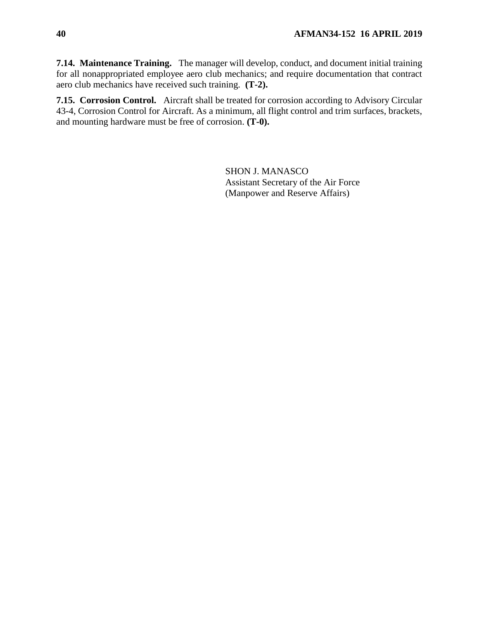<span id="page-39-0"></span>**7.14. Maintenance Training.** The manager will develop, conduct, and document initial training for all nonappropriated employee aero club mechanics; and require documentation that contract aero club mechanics have received such training. **(T-2).**

<span id="page-39-1"></span>**7.15. Corrosion Control.** Aircraft shall be treated for corrosion according to Advisory Circular 43-4, Corrosion Control for Aircraft. As a minimum, all flight control and trim surfaces, brackets, and mounting hardware must be free of corrosion. **(T-0).**

> SHON J. MANASCO Assistant Secretary of the Air Force (Manpower and Reserve Affairs)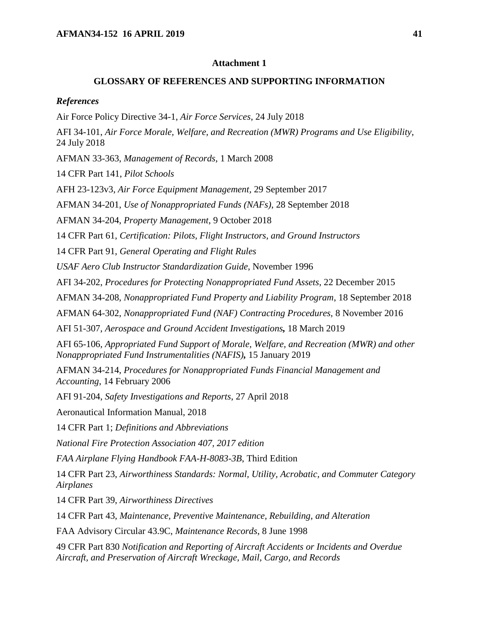#### **GLOSSARY OF REFERENCES AND SUPPORTING INFORMATION**

#### <span id="page-40-0"></span>*References*

Air Force Policy Directive 34-1, *Air Force Services*, 24 July 2018

AFI 34-101, *Air Force Morale, Welfare, and Recreation (MWR) Programs and Use Eligibility*, 24 July 2018

AFMAN 33-363, *Management of Records*, 1 March 2008

14 CFR Part 141, *Pilot Schools*

AFH 23-123v3, *Air Force Equipment Management,* 29 September 2017

AFMAN 34-201, *Use of Nonappropriated Funds (NAFs)*, 28 September 2018

AFMAN 34-204, *Property Management*, 9 October 2018

14 CFR Part 61, *Certification: Pilots, Flight Instructors, and Ground Instructors*

14 CFR Part 91, *General Operating and Flight Rules*

*USAF Aero Club Instructor Standardization Guide*, November 1996

AFI 34-202, *Procedures for Protecting Nonappropriated Fund Assets*, 22 December 2015

AFMAN 34-208, *Nonappropriated Fund Property and Liability Program*, 18 September 2018

AFMAN 64-302, *Nonappropriated Fund (NAF) Contracting Procedures,* 8 November 2016

AFI 51-307, *Aerospace and Ground Accident Investigations,* 18 March 2019

AFI 65-106, *Appropriated Fund Support of Morale, Welfare, and Recreation (MWR) and other Nonappropriated Fund Instrumentalities (NAFIS),* 15 January 2019

AFMAN 34-214, *Procedures for Nonappropriated Funds Financial Management and Accounting*, 14 February 2006

AFI 91-204, *Safety Investigations and Reports*, 27 April 2018

Aeronautical Information Manual, 2018

14 CFR Part 1; *Definitions and Abbreviations*

*National Fire Protection Association 407, 2017 edition*

*FAA Airplane Flying Handbook FAA-H-8083-3B*, Third Edition

14 CFR Part 23, *Airworthiness Standards: Normal, Utility, Acrobatic, and Commuter Category Airplanes*

14 CFR Part 39, *Airworthiness Directives*

14 CFR Part 43, *Maintenance, Preventive Maintenance, Rebuilding, and Alteration*

FAA Advisory Circular 43.9C, *Maintenance Records*, 8 June 1998

49 CFR Part 830 *Notification and Reporting of Aircraft Accidents or Incidents and Overdue Aircraft, and Preservation of Aircraft Wreckage, Mail, Cargo, and Records*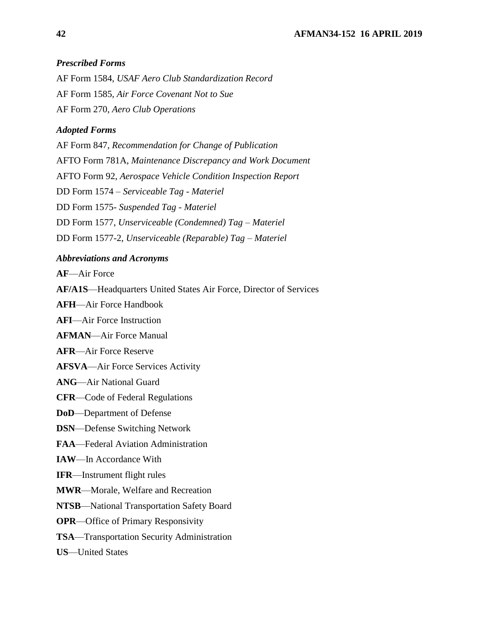## *Prescribed Forms*

AF Form 1584, *USAF Aero Club Standardization Record* AF Form 1585, *Air Force Covenant Not to Sue* AF Form 270, *Aero Club Operations*

## *Adopted Forms*

AF Form 847, *Recommendation for Change of Publication* AFTO Form 781A, *Maintenance Discrepancy and Work Document* AFTO Form 92, *Aerospace Vehicle Condition Inspection Report*  DD Form 1574 – *Serviceable Tag - Materiel* DD Form 1575- *Suspended Tag - Materiel* DD Form 1577, *Unserviceable (Condemned) Tag – Materiel* DD Form 1577-2, *Unserviceable (Reparable) Tag – Materiel*

## *Abbreviations and Acronyms*

**AF**—Air Force

**AF/A1S**—Headquarters United States Air Force, Director of Services

**AFH**—Air Force Handbook

**AFI**—Air Force Instruction

**AFMAN**—Air Force Manual

**AFR**—Air Force Reserve

**AFSVA**—Air Force Services Activity

**ANG**—Air National Guard

**CFR**—Code of Federal Regulations

**DoD**—Department of Defense

**DSN**—Defense Switching Network

**FAA**—Federal Aviation Administration

**IAW**—In Accordance With

**IFR**—Instrument flight rules

**MWR**—Morale, Welfare and Recreation

**NTSB**—National Transportation Safety Board

**OPR**—Office of Primary Responsivity

**TSA**—Transportation Security Administration

**US**—United States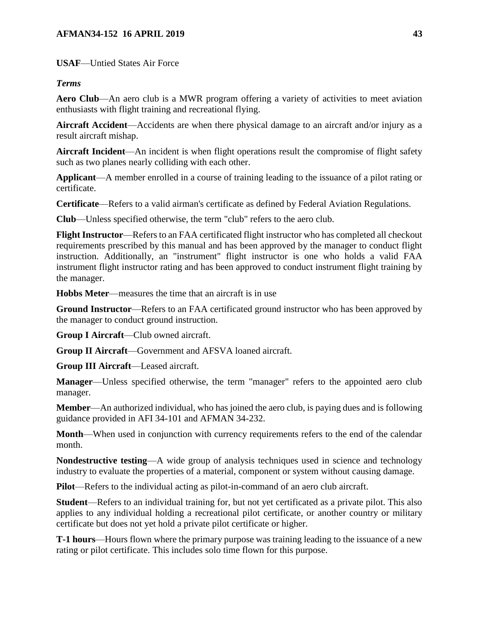## **AFMAN34-152 16 APRIL 2019 43**

**USAF**—Untied States Air Force

## *Terms*

Aero Club—An aero club is a MWR program offering a variety of activities to meet aviation enthusiasts with flight training and recreational flying.

**Aircraft Accident**—Accidents are when there physical damage to an aircraft and/or injury as a result aircraft mishap.

**Aircraft Incident**—An incident is when flight operations result the compromise of flight safety such as two planes nearly colliding with each other.

**Applicant**—A member enrolled in a course of training leading to the issuance of a pilot rating or certificate.

**Certificate**—Refers to a valid airman's certificate as defined by Federal Aviation Regulations.

**Club**—Unless specified otherwise, the term "club" refers to the aero club.

**Flight Instructor**—Refers to an FAA certificated flight instructor who has completed all checkout requirements prescribed by this manual and has been approved by the manager to conduct flight instruction. Additionally, an "instrument" flight instructor is one who holds a valid FAA instrument flight instructor rating and has been approved to conduct instrument flight training by the manager.

**Hobbs Meter**—measures the time that an aircraft is in use

**Ground Instructor**—Refers to an FAA certificated ground instructor who has been approved by the manager to conduct ground instruction.

**Group I Aircraft**—Club owned aircraft.

**Group II Aircraft**—Government and AFSVA loaned aircraft.

**Group III Aircraft**—Leased aircraft.

**Manager**—Unless specified otherwise, the term "manager" refers to the appointed aero club manager.

**Member**—An authorized individual, who has joined the aero club, is paying dues and is following guidance provided in AFI 34-101 and AFMAN 34-232.

**Month**—When used in conjunction with currency requirements refers to the end of the calendar month.

**Nondestructive testing**—A wide group of analysis techniques used in science and technology industry to evaluate the properties of a material, component or system without causing damage.

**Pilot**—Refers to the individual acting as pilot-in-command of an aero club aircraft.

**Student**—Refers to an individual training for, but not yet certificated as a private pilot. This also applies to any individual holding a recreational pilot certificate, or another country or military certificate but does not yet hold a private pilot certificate or higher.

**T-1 hours**—Hours flown where the primary purpose was training leading to the issuance of a new rating or pilot certificate. This includes solo time flown for this purpose.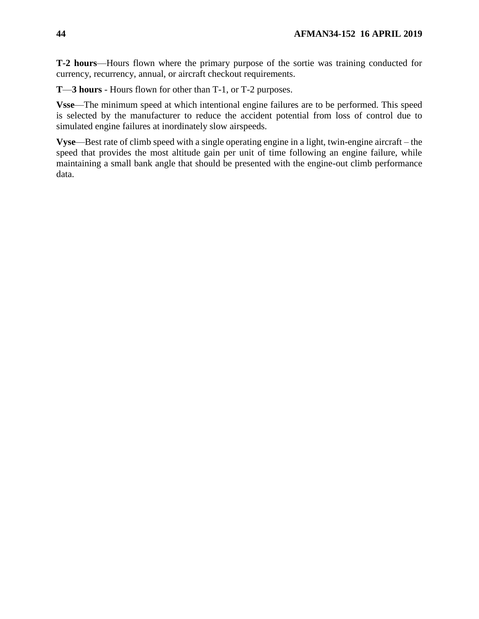**T-2 hours**—Hours flown where the primary purpose of the sortie was training conducted for currency, recurrency, annual, or aircraft checkout requirements.

**T**—**3 hours** - Hours flown for other than T-1, or T-2 purposes.

**Vsse**—The minimum speed at which intentional engine failures are to be performed. This speed is selected by the manufacturer to reduce the accident potential from loss of control due to simulated engine failures at inordinately slow airspeeds.

**Vyse**—Best rate of climb speed with a single operating engine in a light, twin-engine aircraft – the speed that provides the most altitude gain per unit of time following an engine failure, while maintaining a small bank angle that should be presented with the engine-out climb performance data.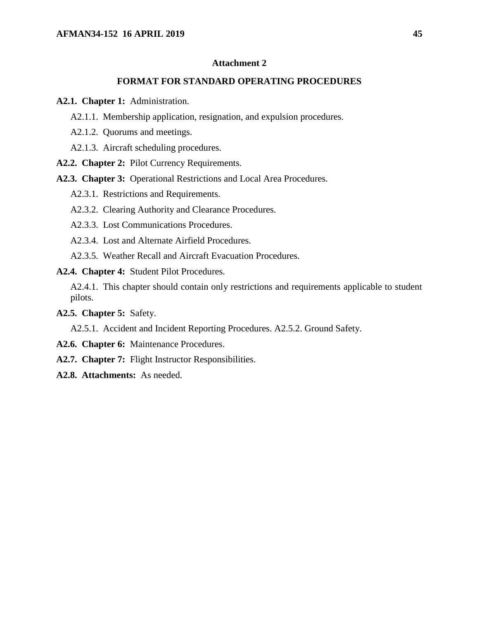#### **FORMAT FOR STANDARD OPERATING PROCEDURES**

<span id="page-44-0"></span>**A2.1. Chapter 1:** Administration.

- A2.1.1. Membership application, resignation, and expulsion procedures.
- A2.1.2. Quorums and meetings.
- A2.1.3. Aircraft scheduling procedures.
- **A2.2. Chapter 2:** Pilot Currency Requirements.
- **A2.3. Chapter 3:** Operational Restrictions and Local Area Procedures.
	- A2.3.1. Restrictions and Requirements.
	- A2.3.2. Clearing Authority and Clearance Procedures.
	- A2.3.3. Lost Communications Procedures.
	- A2.3.4. Lost and Alternate Airfield Procedures.
	- A2.3.5. Weather Recall and Aircraft Evacuation Procedures.
- **A2.4. Chapter 4:** Student Pilot Procedures.

A2.4.1. This chapter should contain only restrictions and requirements applicable to student pilots.

**A2.5. Chapter 5:** Safety.

A2.5.1. Accident and Incident Reporting Procedures. A2.5.2. Ground Safety.

- **A2.6. Chapter 6:** Maintenance Procedures.
- **A2.7. Chapter 7:** Flight Instructor Responsibilities.
- **A2.8. Attachments:** As needed.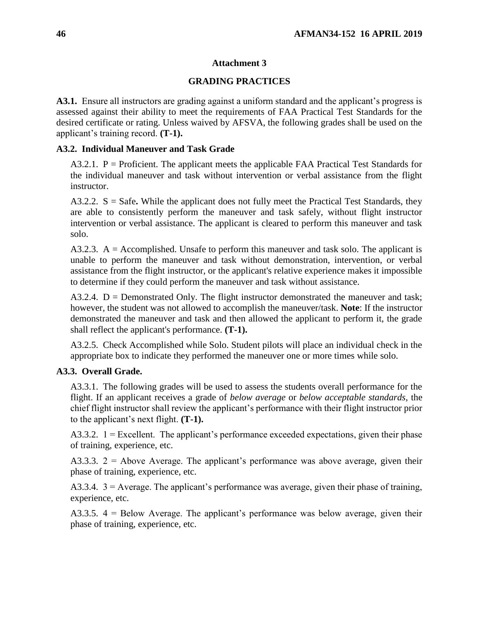## **GRADING PRACTICES**

<span id="page-45-0"></span>**A3.1.** Ensure all instructors are grading against a uniform standard and the applicant's progress is assessed against their ability to meet the requirements of FAA Practical Test Standards for the desired certificate or rating. Unless waived by AFSVA, the following grades shall be used on the applicant's training record. **(T-1).**

## **A3.2. Individual Maneuver and Task Grade**

 $A3.2.1$ .  $P =$  Proficient. The applicant meets the applicable FAA Practical Test Standards for the individual maneuver and task without intervention or verbal assistance from the flight instructor.

A3.2.2. S = Safe**.** While the applicant does not fully meet the Practical Test Standards, they are able to consistently perform the maneuver and task safely, without flight instructor intervention or verbal assistance. The applicant is cleared to perform this maneuver and task solo.

 $A3.2.3. A = Accomplished.$  Unsafe to perform this maneuver and task solo. The applicant is unable to perform the maneuver and task without demonstration, intervention, or verbal assistance from the flight instructor, or the applicant's relative experience makes it impossible to determine if they could perform the maneuver and task without assistance.

A3.2.4.  $D =$  Demonstrated Only. The flight instructor demonstrated the maneuver and task; however, the student was not allowed to accomplish the maneuver/task. **Note**: If the instructor demonstrated the maneuver and task and then allowed the applicant to perform it, the grade shall reflect the applicant's performance. **(T-1).**

A3.2.5. Check Accomplished while Solo. Student pilots will place an individual check in the appropriate box to indicate they performed the maneuver one or more times while solo.

## **A3.3. Overall Grade.**

A3.3.1. The following grades will be used to assess the students overall performance for the flight. If an applicant receives a grade of *below average* or *below acceptable standards*, the chief flight instructor shall review the applicant's performance with their flight instructor prior to the applicant's next flight. **(T-1).**

A3.3.2.  $1 =$  Excellent. The applicant's performance exceeded expectations, given their phase of training, experience, etc.

A3.3.3. 2 = Above Average. The applicant's performance was above average, given their phase of training, experience, etc.

A3.3.4.  $3 =$  Average. The applicant's performance was average, given their phase of training, experience, etc.

A3.3.5. 4 = Below Average. The applicant's performance was below average, given their phase of training, experience, etc.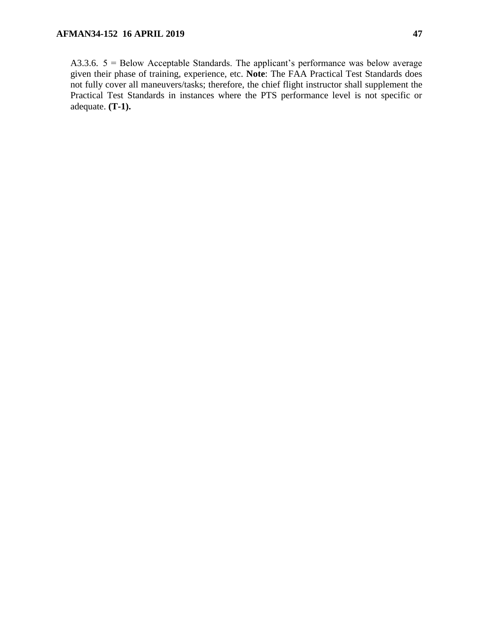A3.3.6.  $5 =$  Below Acceptable Standards. The applicant's performance was below average given their phase of training, experience, etc. **Note**: The FAA Practical Test Standards does not fully cover all maneuvers/tasks; therefore, the chief flight instructor shall supplement the Practical Test Standards in instances where the PTS performance level is not specific or adequate. **(T-1).**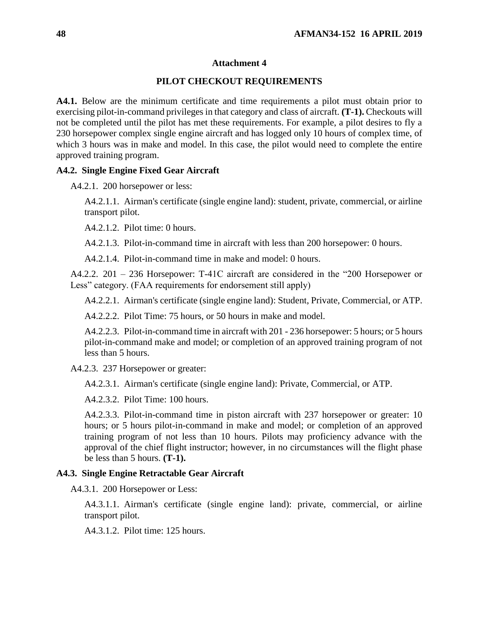### **PILOT CHECKOUT REQUIREMENTS**

<span id="page-47-0"></span>**A4.1.** Below are the minimum certificate and time requirements a pilot must obtain prior to exercising pilot-in-command privileges in that category and class of aircraft. **(T-1).** Checkouts will not be completed until the pilot has met these requirements. For example, a pilot desires to fly a 230 horsepower complex single engine aircraft and has logged only 10 hours of complex time, of which 3 hours was in make and model. In this case, the pilot would need to complete the entire approved training program.

#### **A4.2. Single Engine Fixed Gear Aircraft**

A4.2.1. 200 horsepower or less:

A4.2.1.1. Airman's certificate (single engine land): student, private, commercial, or airline transport pilot.

A4.2.1.2. Pilot time: 0 hours.

A4.2.1.3. Pilot-in-command time in aircraft with less than 200 horsepower: 0 hours.

A4.2.1.4. Pilot-in-command time in make and model: 0 hours.

A4.2.2. 201 – 236 Horsepower: T-41C aircraft are considered in the "200 Horsepower or Less" category. (FAA requirements for endorsement still apply)

A4.2.2.1. Airman's certificate (single engine land): Student, Private, Commercial, or ATP.

A4.2.2.2. Pilot Time: 75 hours, or 50 hours in make and model.

A4.2.2.3. Pilot-in-command time in aircraft with 201 - 236 horsepower: 5 hours; or 5 hours pilot-in-command make and model; or completion of an approved training program of not less than 5 hours.

A4.2.3. 237 Horsepower or greater:

A4.2.3.1. Airman's certificate (single engine land): Private, Commercial, or ATP.

A4.2.3.2. Pilot Time: 100 hours.

A4.2.3.3. Pilot-in-command time in piston aircraft with 237 horsepower or greater: 10 hours; or 5 hours pilot-in-command in make and model; or completion of an approved training program of not less than 10 hours. Pilots may proficiency advance with the approval of the chief flight instructor; however, in no circumstances will the flight phase be less than 5 hours. **(T-1).**

#### **A4.3. Single Engine Retractable Gear Aircraft**

A4.3.1. 200 Horsepower or Less:

A4.3.1.1. Airman's certificate (single engine land): private, commercial, or airline transport pilot.

A4.3.1.2. Pilot time: 125 hours.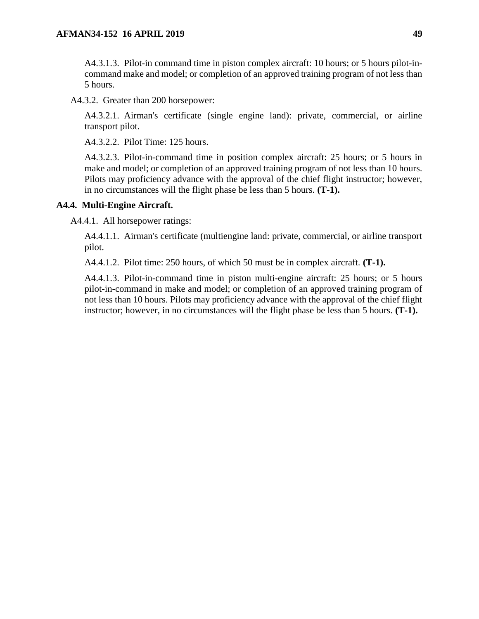A4.3.1.3. Pilot-in command time in piston complex aircraft: 10 hours; or 5 hours pilot-incommand make and model; or completion of an approved training program of not less than 5 hours.

A4.3.2. Greater than 200 horsepower:

A4.3.2.1. Airman's certificate (single engine land): private, commercial, or airline transport pilot.

A4.3.2.2. Pilot Time: 125 hours.

A4.3.2.3. Pilot-in-command time in position complex aircraft: 25 hours; or 5 hours in make and model; or completion of an approved training program of not less than 10 hours. Pilots may proficiency advance with the approval of the chief flight instructor; however, in no circumstances will the flight phase be less than 5 hours. **(T-1).**

## **A4.4. Multi-Engine Aircraft.**

A4.4.1. All horsepower ratings:

A4.4.1.1. Airman's certificate (multiengine land: private, commercial, or airline transport pilot.

A4.4.1.2. Pilot time: 250 hours, of which 50 must be in complex aircraft. **(T-1).**

A4.4.1.3. Pilot-in-command time in piston multi-engine aircraft: 25 hours; or 5 hours pilot-in-command in make and model; or completion of an approved training program of not less than 10 hours. Pilots may proficiency advance with the approval of the chief flight instructor; however, in no circumstances will the flight phase be less than 5 hours. **(T-1).**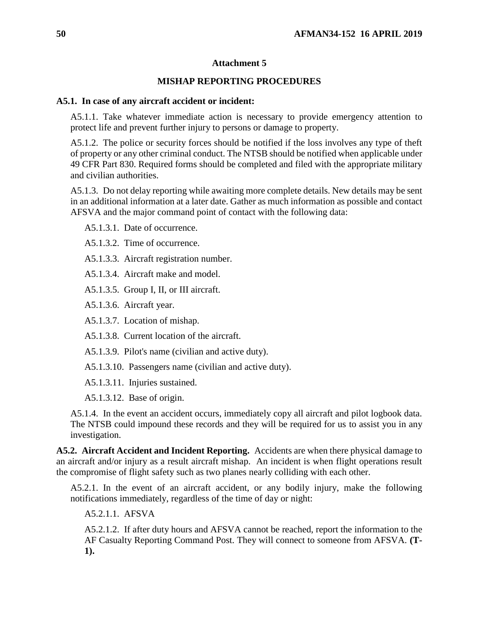### **MISHAP REPORTING PROCEDURES**

#### <span id="page-49-0"></span>**A5.1. In case of any aircraft accident or incident:**

A5.1.1. Take whatever immediate action is necessary to provide emergency attention to protect life and prevent further injury to persons or damage to property.

A5.1.2. The police or security forces should be notified if the loss involves any type of theft of property or any other criminal conduct. The NTSB should be notified when applicable under 49 CFR Part 830. Required forms should be completed and filed with the appropriate military and civilian authorities.

A5.1.3. Do not delay reporting while awaiting more complete details. New details may be sent in an additional information at a later date. Gather as much information as possible and contact AFSVA and the major command point of contact with the following data:

A5.1.3.1. Date of occurrence.

A5.1.3.2. Time of occurrence.

A5.1.3.3. Aircraft registration number.

A5.1.3.4. Aircraft make and model.

A5.1.3.5. Group I, II, or III aircraft.

A5.1.3.6. Aircraft year.

A5.1.3.7. Location of mishap.

A5.1.3.8. Current location of the aircraft.

A5.1.3.9. Pilot's name (civilian and active duty).

A5.1.3.10. Passengers name (civilian and active duty).

A5.1.3.11. Injuries sustained.

A5.1.3.12. Base of origin.

A5.1.4. In the event an accident occurs, immediately copy all aircraft and pilot logbook data. The NTSB could impound these records and they will be required for us to assist you in any investigation.

**A5.2. Aircraft Accident and Incident Reporting.** Accidents are when there physical damage to an aircraft and/or injury as a result aircraft mishap. An incident is when flight operations result the compromise of flight safety such as two planes nearly colliding with each other.

A5.2.1. In the event of an aircraft accident, or any bodily injury, make the following notifications immediately, regardless of the time of day or night:

A5.2.1.1. AFSVA

A5.2.1.2. If after duty hours and AFSVA cannot be reached, report the information to the AF Casualty Reporting Command Post. They will connect to someone from AFSVA. **(T-1).**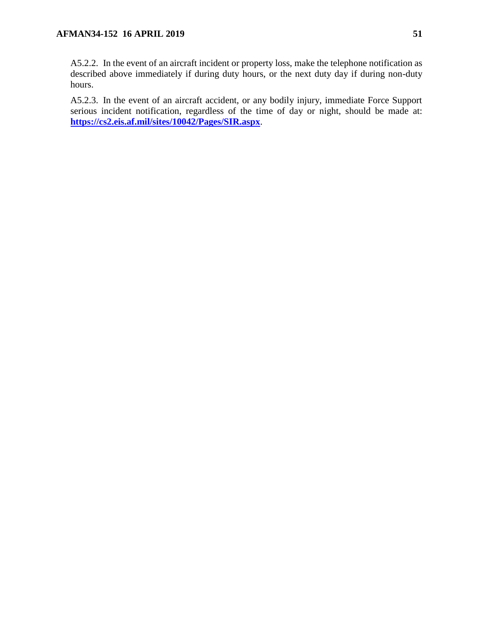A5.2.2. In the event of an aircraft incident or property loss, make the telephone notification as described above immediately if during duty hours, or the next duty day if during non-duty hours.

A5.2.3. In the event of an aircraft accident, or any bodily injury, immediate Force Support serious incident notification, regardless of the time of day or night, should be made at: **<https://cs2.eis.af.mil/sites/10042/Pages/SIR.aspx>**.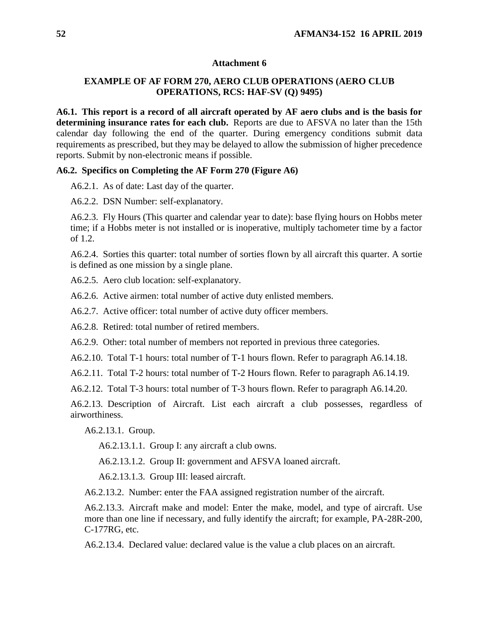## <span id="page-51-0"></span>**EXAMPLE OF AF FORM 270, AERO CLUB OPERATIONS (AERO CLUB OPERATIONS, RCS: HAF-SV (Q) 9495)**

**A6.1. This report is a record of all aircraft operated by AF aero clubs and is the basis for determining insurance rates for each club.** Reports are due to AFSVA no later than the 15th calendar day following the end of the quarter. During emergency conditions submit data requirements as prescribed, but they may be delayed to allow the submission of higher precedence reports. Submit by non-electronic means if possible.

### **A6.2. Specifics on Completing the AF Form 270 (Figure A6)**

A6.2.1. As of date: Last day of the quarter.

A6.2.2. DSN Number: self-explanatory.

A6.2.3. Fly Hours (This quarter and calendar year to date): base flying hours on Hobbs meter time; if a Hobbs meter is not installed or is inoperative, multiply tachometer time by a factor of 1.2.

A6.2.4. Sorties this quarter: total number of sorties flown by all aircraft this quarter. A sortie is defined as one mission by a single plane.

A6.2.5. Aero club location: self-explanatory.

A6.2.6. Active airmen: total number of active duty enlisted members.

A6.2.7. Active officer: total number of active duty officer members.

A6.2.8. Retired: total number of retired members.

A6.2.9. Other: total number of members not reported in previous three categories.

A6.2.10. Total T-1 hours: total number of T-1 hours flown. Refer to paragraph A6.14.18.

A6.2.11. Total T-2 hours: total number of T-2 Hours flown. Refer to paragraph A6.14.19.

A6.2.12. Total T-3 hours: total number of T-3 hours flown. Refer to paragraph A6.14.20.

A6.2.13. Description of Aircraft. List each aircraft a club possesses, regardless of airworthiness.

A6.2.13.1. Group.

A6.2.13.1.1. Group I: any aircraft a club owns.

A6.2.13.1.2. Group II: government and AFSVA loaned aircraft.

A6.2.13.1.3. Group III: leased aircraft.

A6.2.13.2. Number: enter the FAA assigned registration number of the aircraft.

A6.2.13.3. Aircraft make and model: Enter the make, model, and type of aircraft. Use more than one line if necessary, and fully identify the aircraft; for example, PA-28R-200, C-177RG, etc.

A6.2.13.4. Declared value: declared value is the value a club places on an aircraft.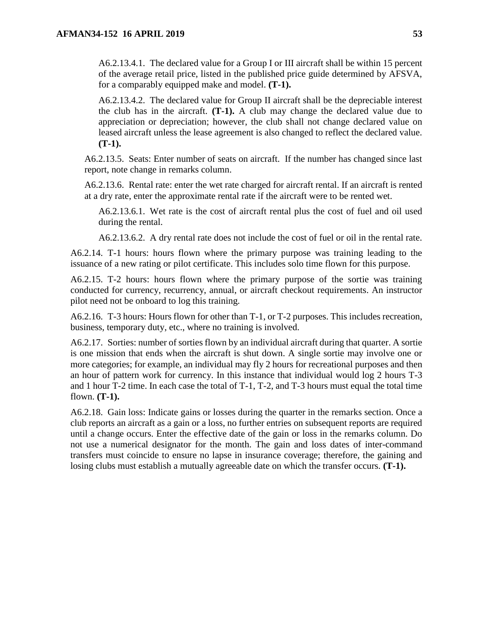A6.2.13.4.1. The declared value for a Group I or III aircraft shall be within 15 percent of the average retail price, listed in the published price guide determined by AFSVA, for a comparably equipped make and model. **(T-1).**

A6.2.13.4.2. The declared value for Group II aircraft shall be the depreciable interest the club has in the aircraft. **(T-1).** A club may change the declared value due to appreciation or depreciation; however, the club shall not change declared value on leased aircraft unless the lease agreement is also changed to reflect the declared value. **(T-1).**

A6.2.13.5. Seats: Enter number of seats on aircraft. If the number has changed since last report, note change in remarks column.

A6.2.13.6. Rental rate: enter the wet rate charged for aircraft rental. If an aircraft is rented at a dry rate, enter the approximate rental rate if the aircraft were to be rented wet.

A6.2.13.6.1. Wet rate is the cost of aircraft rental plus the cost of fuel and oil used during the rental.

A6.2.13.6.2. A dry rental rate does not include the cost of fuel or oil in the rental rate.

A6.2.14. T-1 hours: hours flown where the primary purpose was training leading to the issuance of a new rating or pilot certificate. This includes solo time flown for this purpose.

A6.2.15. T-2 hours: hours flown where the primary purpose of the sortie was training conducted for currency, recurrency, annual, or aircraft checkout requirements. An instructor pilot need not be onboard to log this training.

A6.2.16. T-3 hours: Hours flown for other than T-1, or T-2 purposes. This includes recreation, business, temporary duty, etc., where no training is involved.

A6.2.17. Sorties: number of sorties flown by an individual aircraft during that quarter. A sortie is one mission that ends when the aircraft is shut down. A single sortie may involve one or more categories; for example, an individual may fly 2 hours for recreational purposes and then an hour of pattern work for currency. In this instance that individual would log 2 hours T-3 and 1 hour T-2 time. In each case the total of T-1, T-2, and T-3 hours must equal the total time flown. **(T-1).**

A6.2.18. Gain loss: Indicate gains or losses during the quarter in the remarks section. Once a club reports an aircraft as a gain or a loss, no further entries on subsequent reports are required until a change occurs. Enter the effective date of the gain or loss in the remarks column. Do not use a numerical designator for the month. The gain and loss dates of inter-command transfers must coincide to ensure no lapse in insurance coverage; therefore, the gaining and losing clubs must establish a mutually agreeable date on which the transfer occurs. **(T-1).**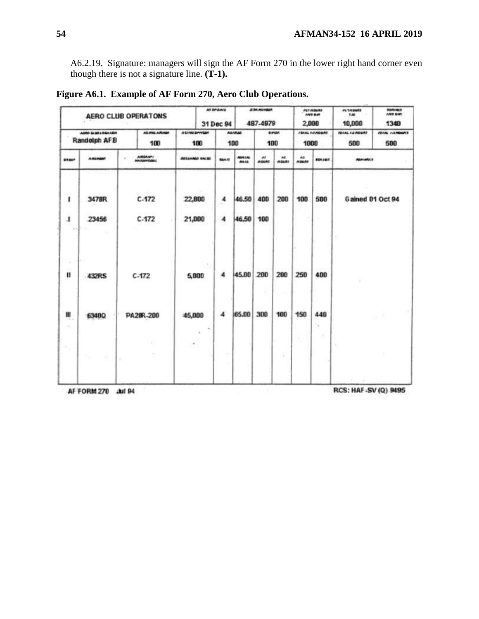A6.2.19. Signature: managers will sign the AF Form 270 in the lower right hand corner even though there is not a signature line. **(T-1).**

|                                  | AD DP-BAID<br><b>AERO CLUB OPERATONS</b><br>31 Dec 94 |                       |                         | <b>A SH MUNDAY</b><br>487-4979 |                               |                              | <b>PET HOURS</b><br>cors par<br>2,000 | <b>PLUMITIA</b><br><b>YAR</b><br>10,000 | <b>FOAVALS</b><br><b>INT DAT</b><br>1340 |                      |                               |                             |
|----------------------------------|-------------------------------------------------------|-----------------------|-------------------------|--------------------------------|-------------------------------|------------------------------|---------------------------------------|-----------------------------------------|------------------------------------------|----------------------|-------------------------------|-----------------------------|
| AMO SLEELEGATION<br>Randolph AFB |                                                       | AS ANG A PUNAN<br>100 |                         |                                | A EXING GAVIGER<br>180<br>108 |                              | <b>ABIRAL</b><br><b>Danar</b><br>100  |                                         | 1000                                     | <b>ISEAL ARABERS</b> | <b>IDCAL I-2 ADEAS</b><br>500 | <b>IDIAL IGNOONS</b><br>500 |
| EREUP                            | <b>ARENDAT</b>                                        | AREANY                |                         | <b>ANGLANDS NALSE</b>          | <b>SGAJS</b>                  | <b>ADRIAL</b><br><b>MAIL</b> | w<br><b>INDOW</b>                     | $\overline{a}$<br><b>HOURS</b>          | A <sub>0</sub><br><b>HEART</b>           | <b>BOY/A1</b>        | <b>AGAIANCE</b>               |                             |
| 1                                | 3478R                                                 | C.172                 | 22,800                  |                                | $\ddot{ }$                    | 46.50                        | 400                                   | 200                                     | 100                                      | 500                  |                               | Gained 01 Oct 94            |
| $\mathbf{I}$<br>$-1$             | 23456<br>74                                           | C.172                 | 21,000                  |                                | 4                             | 46.50                        | 100                                   |                                         |                                          | n.                   | ×                             |                             |
| ×<br>Ш                           | 432RS                                                 | $C-172$               |                         | ON:<br>5,000                   | 4                             | 45.00                        | 200                                   | 200                                     | 250                                      | 400                  |                               |                             |
| ш<br>$\sim$<br>$\sim$<br>$\sim$  | 6348Q                                                 | PA28R-200             | 45,000<br>$\mathcal{F}$ | $\alpha$<br>¥.                 | 4                             | 65.00                        | 300                                   | 100                                     | 150                                      | 448<br>$\sim$<br>œ   | ×                             |                             |
|                                  | -2<br>×                                               | 767                   |                         |                                |                               |                              |                                       | g                                       |                                          |                      |                               |                             |

**Figure A6.1. Example of AF Form 270, Aero Club Operations.**

AF FORM 270 Jul 94

RCS: HAF-SV(Q) 9495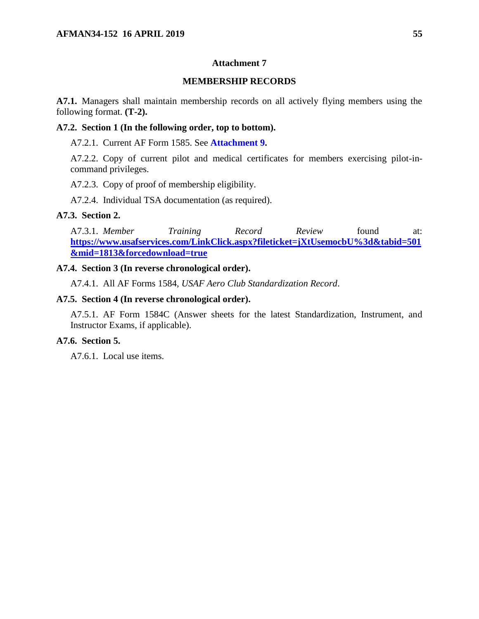## **MEMBERSHIP RECORDS**

<span id="page-54-0"></span>**A7.1.** Managers shall maintain membership records on all actively flying members using the following format. **(T-2).**

#### **A7.2. Section 1 (In the following order, top to bottom).**

A7.2.1. Current AF Form 1585. See **[Attachment 9.](#page-56-0)**

A7.2.2. Copy of current pilot and medical certificates for members exercising pilot-incommand privileges.

A7.2.3. Copy of proof of membership eligibility.

A7.2.4. Individual TSA documentation (as required).

## **A7.3. Section 2.**

A7.3.1. *Member Training Record Review* found at: **[https://www.usafservices.com/LinkClick.aspx?fileticket=jXtUsemocbU%3d&tabid=501](https://www.usafservices.com/LinkClick.aspx?fileticket=jXtUsemocbU%3d&tabid=501&mid=1813&forcedownload=true) [&mid=1813&forcedownload=true](https://www.usafservices.com/LinkClick.aspx?fileticket=jXtUsemocbU%3d&tabid=501&mid=1813&forcedownload=true)**

## **A7.4. Section 3 (In reverse chronological order).**

A7.4.1. All AF Forms 1584, *USAF Aero Club Standardization Record*.

## **A7.5. Section 4 (In reverse chronological order).**

A7.5.1. AF Form 1584C (Answer sheets for the latest Standardization, Instrument, and Instructor Exams, if applicable).

## **A7.6. Section 5.**

A7.6.1. Local use items.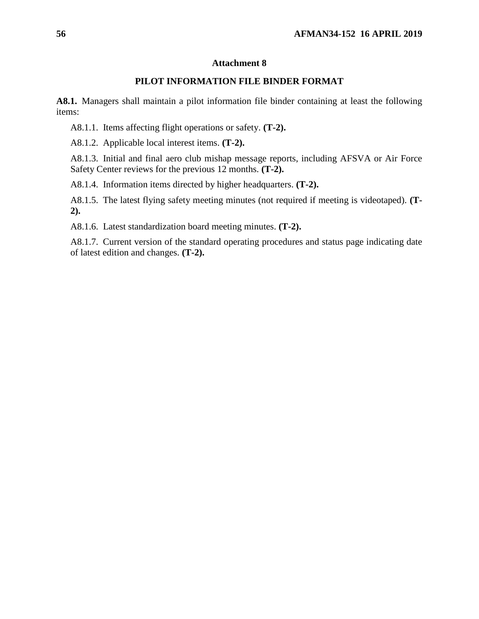## **PILOT INFORMATION FILE BINDER FORMAT**

<span id="page-55-0"></span>**A8.1.** Managers shall maintain a pilot information file binder containing at least the following items:

A8.1.1. Items affecting flight operations or safety. **(T-2).**

A8.1.2. Applicable local interest items. **(T-2).**

A8.1.3. Initial and final aero club mishap message reports, including AFSVA or Air Force Safety Center reviews for the previous 12 months. **(T-2).**

A8.1.4. Information items directed by higher headquarters. **(T-2).**

A8.1.5. The latest flying safety meeting minutes (not required if meeting is videotaped). **(T-2).**

A8.1.6. Latest standardization board meeting minutes. **(T-2).**

A8.1.7. Current version of the standard operating procedures and status page indicating date of latest edition and changes. **(T-2).**